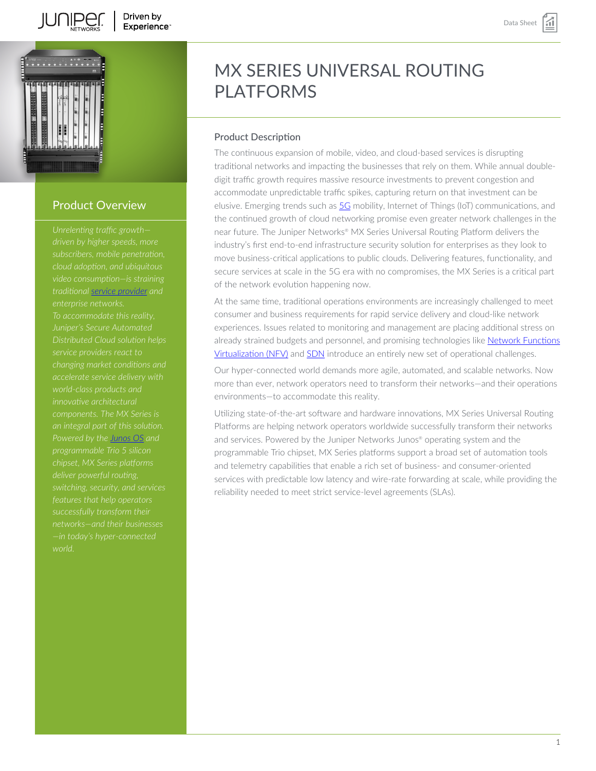

# Product Overview

*subscribers, mobile penetration, traditional [service provider](https://www.juniper.net/us/en/service-provider.html) and Juniper's Secure Automated Distributed Cloud solution helps service providers react to changing market conditions and accelerate service delivery with innovative architectural components. The MX Series is an integral part of this solution. Powered by the [Junos OS](https://www.juniper.net/us/en/products/network-operating-system.html) and deliver powerful routing, features that help operators successfully transform their networks—and their businesses —in today's hyper-connected*

# MX SERIES UNIVERSAL ROUTING PLATFORMS

#### Product Description

The continuous expansion of mobile, video, and cloud-based services is disrupting traditional networks and impacting the businesses that rely on them. While annual doubledigit traffic growth requires massive resource investments to prevent congestion and accommodate unpredictable traffic spikes, capturing return on that investment can be elusive. Emerging trends such as [5G](https://www.juniper.net/us/en/solutions/5g-networking.html) mobility, Internet of Things (IoT) communications, and the continued growth of cloud networking promise even greater network challenges in the near future. The Juniper Networks® MX Series Universal Routing Platform delivers the industry's first end-to-end infrastructure security solution for enterprises as they look to move business-critical applications to public clouds. Delivering features, functionality, and secure services at scale in the 5G era with no compromises, the MX Series is a critical part of the network evolution happening now.

At the same time, traditional operations environments are increasingly challenged to meet consumer and business requirements for rapid service delivery and cloud-like network experiences. Issues related to monitoring and management are placing additional stress on already strained budgets and personnel, and promising technologies like [Network Functions](https://www.juniper.net/us/en/research-topics/what-is-network-functions-virtualization-nfv.html) [Virtualization \(NFV\)](https://www.juniper.net/us/en/research-topics/what-is-network-functions-virtualization-nfv.html) and [SDN](https://www.juniper.net/us/en/products/sdn-and-orchestration.html) introduce an entirely new set of operational challenges.

Our hyper-connected world demands more agile, automated, and scalable networks. Now more than ever, network operators need to transform their networks—and their operations environments—to accommodate this reality.

Utilizing state-of-the-art software and hardware innovations, MX Series Universal Routing Platforms are helping network operators worldwide successfully transform their networks and services. Powered by the Juniper Networks Junos® operating system and the programmable Trio chipset, MX Series platforms support a broad set of automation tools and telemetry capabilities that enable a rich set of business- and consumer-oriented services with predictable low latency and wire-rate forwarding at scale, while providing the reliability needed to meet strict service-level agreements (SLAs).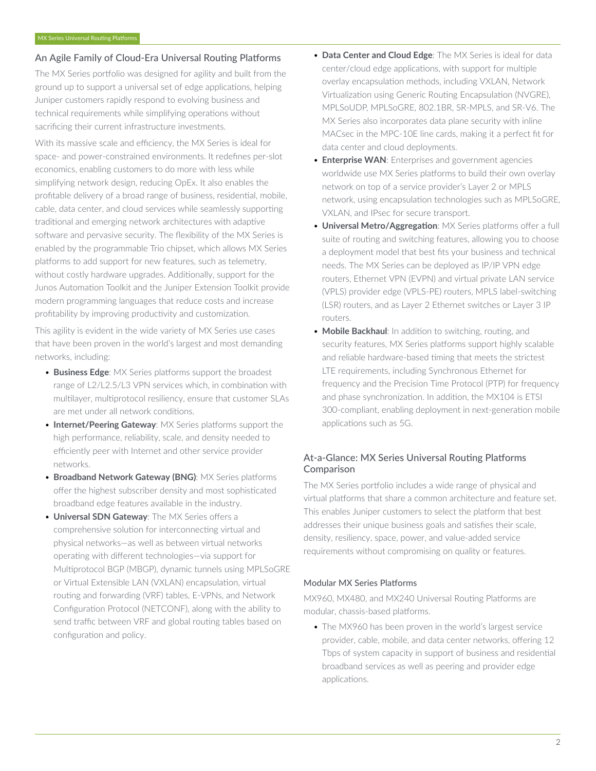#### An Agile Family of Cloud-Era Universal Routing Platforms

The MX Series portfolio was designed for agility and built from the ground up to support a universal set of edge applications, helping Juniper customers rapidly respond to evolving business and technical requirements while simplifying operations without sacrificing their current infrastructure investments.

With its massive scale and efficiency, the MX Series is ideal for space- and power-constrained environments. It redefines per-slot economics, enabling customers to do more with less while simplifying network design, reducing OpEx. It also enables the profitable delivery of a broad range of business, residential, mobile, cable, data center, and cloud services while seamlessly supporting traditional and emerging network architectures with adaptive software and pervasive security. The flexibility of the MX Series is enabled by the programmable Trio chipset, which allows MX Series platforms to add support for new features, such as telemetry, without costly hardware upgrades. Additionally, support for the Junos Automation Toolkit and the Juniper Extension Toolkit provide modern programming languages that reduce costs and increase profitability by improving productivity and customization.

This agility is evident in the wide variety of MX Series use cases that have been proven in the world's largest and most demanding networks, including:

- **Business Edge**: MX Series platforms support the broadest range of L2/L2.5/L3 VPN services which, in combination with multilayer, multiprotocol resiliency, ensure that customer SLAs are met under all network conditions.
- **Internet/Peering Gateway**: MX Series platforms support the high performance, reliability, scale, and density needed to efficiently peer with Internet and other service provider networks.
- **Broadband Network Gateway (BNG)**: MX Series platforms offer the highest subscriber density and most sophisticated broadband edge features available in the industry.
- **Universal SDN Gateway**: The MX Series offers a comprehensive solution for interconnecting virtual and physical networks—as well as between virtual networks operating with different technologies—via support for Multiprotocol BGP (MBGP), dynamic tunnels using MPLSoGRE or Virtual Extensible LAN (VXLAN) encapsulation, virtual routing and forwarding (VRF) tables, E-VPNs, and Network Configuration Protocol (NETCONF), along with the ability to send traffic between VRF and global routing tables based on configuration and policy.
- **Data Center and Cloud Edge**: The MX Series is ideal for data center/cloud edge applications, with support for multiple overlay encapsulation methods, including VXLAN, Network Virtualization using Generic Routing Encapsulation (NVGRE), MPLSoUDP, MPLSoGRE, 802.1BR, SR-MPLS, and SR-V6. The MX Series also incorporates data plane security with inline MACsec in the MPC-10E line cards, making it a perfect fit for data center and cloud deployments.
- **Enterprise WAN**: Enterprises and government agencies worldwide use MX Series platforms to build their own overlay network on top of a service provider's Layer 2 or MPLS network, using encapsulation technologies such as MPLSoGRE, VXLAN, and IPsec for secure transport.
- **Universal Metro/Aggregation**: MX Series platforms offer a full suite of routing and switching features, allowing you to choose a deployment model that best fits your business and technical needs. The MX Series can be deployed as IP/IP VPN edge routers, Ethernet VPN (EVPN) and virtual private LAN service (VPLS) provider edge (VPLS-PE) routers, MPLS label-switching (LSR) routers, and as Layer 2 Ethernet switches or Layer 3 IP routers.
- **Mobile Backhaul**: In addition to switching, routing, and security features, MX Series platforms support highly scalable and reliable hardware-based timing that meets the strictest LTE requirements, including Synchronous Ethernet for frequency and the Precision Time Protocol (PTP) for frequency and phase synchronization. In addition, the MX104 is ETSI 300-compliant, enabling deployment in next-generation mobile applications such as 5G.

# At-a-Glance: MX Series Universal Routing Platforms Comparison

The MX Series portfolio includes a wide range of physical and virtual platforms that share a common architecture and feature set. This enables Juniper customers to select the platform that best addresses their unique business goals and satisfies their scale, density, resiliency, space, power, and value-added service requirements without compromising on quality or features.

#### Modular MX Series Platforms

MX960, MX480, and MX240 Universal Routing Platforms are modular, chassis-based platforms.

• The MX960 has been proven in the world's largest service provider, cable, mobile, and data center networks, offering 12 Tbps of system capacity in support of business and residential broadband services as well as peering and provider edge applications.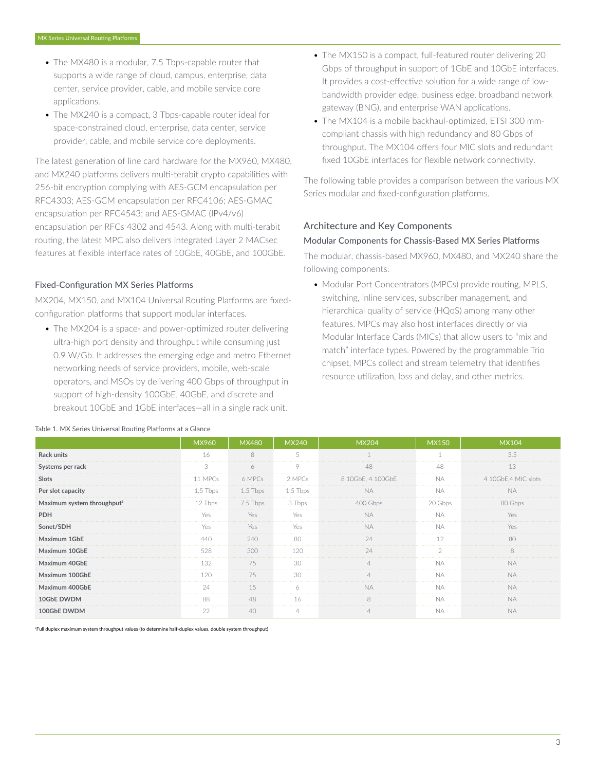- The MX480 is a modular, 7.5 Tbps-capable router that supports a wide range of cloud, campus, enterprise, data center, service provider, cable, and mobile service core applications.
- The MX240 is a compact, 3 Tbps-capable router ideal for space-constrained cloud, enterprise, data center, service provider, cable, and mobile service core deployments.

The latest generation of line card hardware for the MX960, MX480, and MX240 platforms delivers multi-terabit crypto capabilities with 256-bit encryption complying with AES-GCM encapsulation per RFC4303; AES-GCM encapsulation per RFC4106; AES-GMAC encapsulation per RFC4543; and AES-GMAC (IPv4/v6) encapsulation per RFCs 4302 and 4543. Along with multi-terabit routing, the latest MPC also delivers integrated Layer 2 MACsec features at flexible interface rates of 10GbE, 40GbE, and 100GbE.

#### Fixed-Configuration MX Series Platforms

MX204, MX150, and MX104 Universal Routing Platforms are fixedconfiguration platforms that support modular interfaces.

• The MX204 is a space- and power-optimized router delivering ultra-high port density and throughput while consuming just 0.9 W/Gb. It addresses the emerging edge and metro Ethernet networking needs of service providers, mobile, web-scale operators, and MSOs by delivering 400 Gbps of throughput in support of high-density 100GbE, 40GbE, and discrete and breakout 10GbE and 1GbE interfaces—all in a single rack unit.

- The MX150 is a compact, full-featured router delivering 20 Gbps of throughput in support of 1GbE and 10GbE interfaces. It provides a cost-effective solution for a wide range of lowbandwidth provider edge, business edge, broadband network gateway (BNG), and enterprise WAN applications.
- The MX104 is a mobile backhaul-optimized, ETSI 300 mmcompliant chassis with high redundancy and 80 Gbps of throughput. The MX104 offers four MIC slots and redundant fixed 10GbE interfaces for flexible network connectivity.

The following table provides a comparison between the various MX Series modular and fixed-configuration platforms.

#### Architecture and Key Components

#### Modular Components for Chassis-Based MX Series Platforms

The modular, chassis-based MX960, MX480, and MX240 share the following components:

• Modular Port Concentrators (MPCs) provide routing, MPLS, switching, inline services, subscriber management, and hierarchical quality of service (HQoS) among many other features. MPCs may also host interfaces directly or via Modular Interface Cards (MICs) that allow users to "mix and match" interface types. Powered by the programmable Trio chipset, MPCs collect and stream telemetry that identifies resource utilization, loss and delay, and other metrics.

|                                        | MX960      | <b>MX480</b> | <b>MX240</b>   | <b>MX204</b>      | <b>MX150</b> | <b>MX104</b>         |
|----------------------------------------|------------|--------------|----------------|-------------------|--------------|----------------------|
| Rack units                             | 16         | 8            | 5              |                   |              | 3.5                  |
| Systems per rack                       | 3          | 6            | $\circ$        | 48                | 48           | 13                   |
| Slots                                  | 11 MPCs    | 6 MPCs       | 2 MPCs         | 8 10GbE, 4 100GbE | NA.          | 4 10GbE, 4 MIC slots |
| Per slot capacity                      | $1.5$ Tbps | 1.5 Tbps     | 1.5 Tbps       | <b>NA</b>         | <b>NA</b>    | <b>NA</b>            |
| Maximum system throughput <sup>1</sup> | 12 Tbps    | 7.5 Tbps     | 3 Tbps         | 400 Gbps          | 20 Gbps      | 80 Gbps              |
| <b>PDH</b>                             | Yes        | Yes          | Yes            | <b>NA</b>         | <b>NA</b>    | Yes                  |
| Sonet/SDH                              | Yes        | Yes.         | Yes            | NA.               | NA.          | Yes                  |
| Maximum 1GbE                           | 440        | 240          | 80             | 24                | 12           | 80                   |
| Maximum 10GbE                          | 528        | 300          | 120            | 24                |              | 8                    |
| Maximum 40GbE                          | 132        | 75           | 30             | $\varDelta$       | <b>NA</b>    | <b>NA</b>            |
| Maximum 100GbE                         | 120        | 75           | 30             |                   | <b>NA</b>    | <b>NA</b>            |
| Maximum 400GbE                         | 24         | 15           | 6              | <b>NA</b>         | <b>NA</b>    | <b>NA</b>            |
| 10GbE DWDM                             | 88         | 48           | 16             | 8                 | NA.          | <b>NA</b>            |
| 100GbE DWDM                            | 22         | 40           | $\overline{4}$ |                   | <b>NA</b>    | NA.                  |

#### Table 1. MX Series Universal Routing Platforms at a Glance

<sup>1</sup>Full duplex maximum system throughput values (to determine half-duplex values, double system throughput)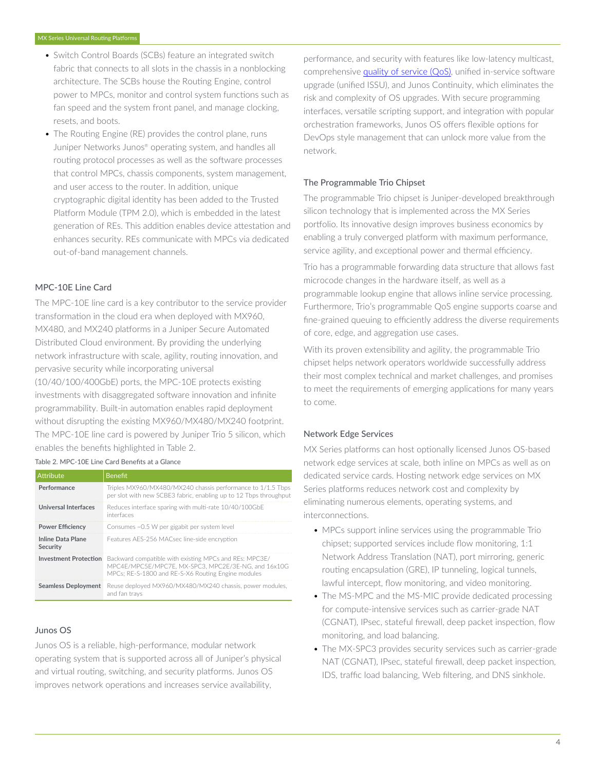- Switch Control Boards (SCBs) feature an integrated switch fabric that connects to all slots in the chassis in a nonblocking architecture. The SCBs house the Routing Engine, control power to MPCs, monitor and control system functions such as fan speed and the system front panel, and manage clocking, resets, and boots.
- The Routing Engine (RE) provides the control plane, runs Juniper Networks Junos® operating system, and handles all routing protocol processes as well as the software processes that control MPCs, chassis components, system management, and user access to the router. In addition, unique cryptographic digital identity has been added to the Trusted Platform Module (TPM 2.0), which is embedded in the latest generation of REs. This addition enables device attestation and enhances security. REs communicate with MPCs via dedicated out-of-band management channels.

#### MPC-10E Line Card

The MPC-10E line card is a key contributor to the service provider transformation in the cloud era when deployed with MX960, MX480, and MX240 platforms in a Juniper Secure Automated Distributed Cloud environment. By providing the underlying network infrastructure with scale, agility, routing innovation, and pervasive security while incorporating universal

(10/40/100/400GbE) ports, the MPC-10E protects existing investments with disaggregated software innovation and infinite programmability. Built-in automation enables rapid deployment without disrupting the existing MX960/MX480/MX240 footprint. The MPC-10E line card is powered by Juniper Trio 5 silicon, which enables the benefits highlighted in Table 2.

Table 2. MPC-10E Line Card Benefits at a Glance

| Attribute                            | <b>Benefit</b>                                                                                                                                                      |
|--------------------------------------|---------------------------------------------------------------------------------------------------------------------------------------------------------------------|
| Performance                          | Triples MX960/MX480/MX240 chassis performance to 1/1.5 Tbps<br>per slot with new SCBE3 fabric, enabling up to 12 Tbps throughput                                    |
| Universal Interfaces                 | Reduces interface sparing with multi-rate 10/40/100GbE<br>interfaces                                                                                                |
| <b>Power Efficiency</b>              | Consumes ~0.5 W per gigabit per system level                                                                                                                        |
| <b>Inline Data Plane</b><br>Security | Features AES-256 MACsec line-side encryption                                                                                                                        |
| <b>Investment Protection</b>         | Backward compatible with existing MPCs and REs: MPC3E/<br>MPC4E/MPC5E/MPC7E, MX-SPC3, MPC2E/3E-NG, and 16x10G<br>MPCs; RE-S-1800 and RE-S-X6 Routing Engine modules |
| <b>Seamless Deployment</b>           | Reuse deployed MX960/MX480/MX240 chassis, power modules.<br>and fan travs                                                                                           |

#### Junos OS

Junos OS is a reliable, high-performance, modular network operating system that is supported across all of Juniper's physical and virtual routing, switching, and security platforms. Junos OS improves network operations and increases service availability,

performance, and security with features like low-latency multicast, comprehensive [quality of service \(QoS\)](https://www.juniper.net/us/en/research-topics/what-is-qos.html), unified in-service software upgrade (unified ISSU), and Junos Continuity, which eliminates the risk and complexity of OS upgrades. With secure programming interfaces, versatile scripting support, and integration with popular orchestration frameworks, Junos OS offers flexible options for DevOps style management that can unlock more value from the network.

#### The Programmable Trio Chipset

The programmable Trio chipset is Juniper-developed breakthrough silicon technology that is implemented across the MX Series portfolio. Its innovative design improves business economics by enabling a truly converged platform with maximum performance, service agility, and exceptional power and thermal efficiency.

Trio has a programmable forwarding data structure that allows fast microcode changes in the hardware itself, as well as a programmable lookup engine that allows inline service processing. Furthermore, Trio's programmable QoS engine supports coarse and fine-grained queuing to efficiently address the diverse requirements of core, edge, and aggregation use cases.

With its proven extensibility and agility, the programmable Trio chipset helps network operators worldwide successfully address their most complex technical and market challenges, and promises to meet the requirements of emerging applications for many years to come.

#### Network Edge Services

MX Series platforms can host optionally licensed Junos OS-based network edge services at scale, both inline on MPCs as well as on dedicated service cards. Hosting network edge services on MX Series platforms reduces network cost and complexity by eliminating numerous elements, operating systems, and interconnections.

- MPCs support inline services using the programmable Trio chipset; supported services include flow monitoring, 1:1 Network Address Translation (NAT), port mirroring, generic routing encapsulation (GRE), IP tunneling, logical tunnels, lawful intercept, flow monitoring, and video monitoring.
- The MS-MPC and the MS-MIC provide dedicated processing for compute-intensive services such as carrier-grade NAT (CGNAT), IPsec, stateful firewall, deep packet inspection, flow monitoring, and load balancing.
- The MX-SPC3 provides security services such as carrier-grade NAT (CGNAT), IPsec, stateful firewall, deep packet inspection, IDS, traffic load balancing, Web filtering, and DNS sinkhole.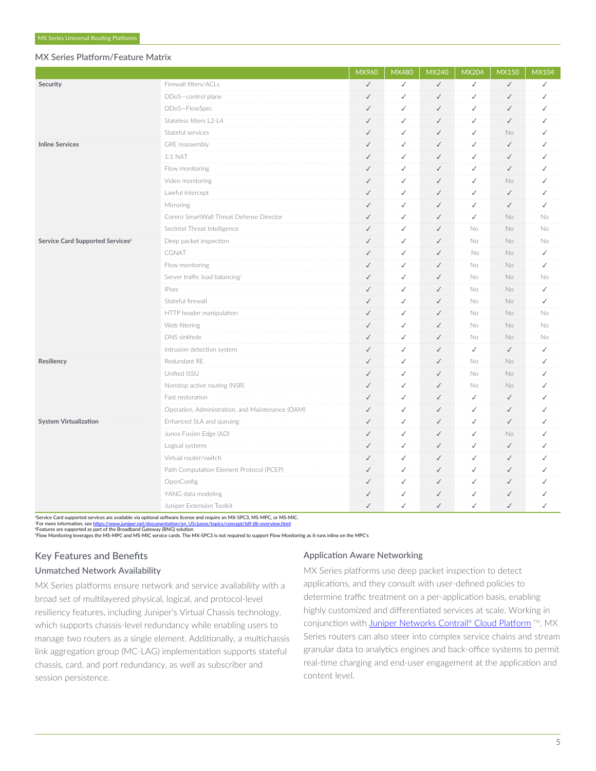#### MX Series Platform/Feature Matrix

|                                              |                                                  | MX960        | <b>MX480</b> | <b>MX240</b> | <b>MX204</b> | <b>MX150</b> | <b>MX104</b> |
|----------------------------------------------|--------------------------------------------------|--------------|--------------|--------------|--------------|--------------|--------------|
| Security                                     | Firewall filters/ACLs                            | $\checkmark$ | $\checkmark$ | $\checkmark$ | $\checkmark$ | $\checkmark$ | $\checkmark$ |
|                                              | DDoS-control plane                               | $\checkmark$ | $\checkmark$ | $\checkmark$ | $\checkmark$ | $\checkmark$ | $\checkmark$ |
|                                              | DDoS-FlowSpec                                    | $\checkmark$ | $\checkmark$ | $\checkmark$ | $\checkmark$ | $\checkmark$ | $\checkmark$ |
|                                              | Stateless filters L2-L4                          | $\checkmark$ | $\checkmark$ | $\checkmark$ | $\checkmark$ | $\checkmark$ | $\checkmark$ |
|                                              | Stateful services                                | $\checkmark$ | $\checkmark$ | $\checkmark$ | $\checkmark$ | <b>No</b>    | $\checkmark$ |
| <b>Inline Services</b>                       | GRE reassembly                                   | $\checkmark$ | $\checkmark$ | $\checkmark$ | $\checkmark$ | $\checkmark$ | ✓            |
|                                              | 1:1 NAT                                          | $\checkmark$ | $\checkmark$ | $\checkmark$ | $\checkmark$ | $\checkmark$ | $\checkmark$ |
|                                              | Flow monitoring                                  | $\checkmark$ | $\checkmark$ | $\checkmark$ | $\checkmark$ | $\checkmark$ | $\checkmark$ |
|                                              | Video monitoring                                 | $\checkmark$ | $\checkmark$ | $\checkmark$ | $\checkmark$ | No           | ✓            |
|                                              | Lawful intercept                                 | $\checkmark$ | $\checkmark$ | $\checkmark$ | $\checkmark$ | $\checkmark$ | $\checkmark$ |
|                                              | Mirroring                                        | $\checkmark$ | $\checkmark$ | $\checkmark$ | $\checkmark$ | $\checkmark$ | $\checkmark$ |
|                                              | Corero SmartWall Threat Defense Director         | $\checkmark$ | $\checkmark$ | $\checkmark$ | $\checkmark$ | No           | No           |
|                                              | SecIntel Threat Intelligence                     | $\checkmark$ | $\checkmark$ | $\checkmark$ | No           | No           | No           |
| Service Card Supported Services <sup>6</sup> | Deep packet inspection                           | $\checkmark$ | $\checkmark$ | $\checkmark$ | No           | <b>No</b>    | No           |
|                                              | CGNAT                                            | $\checkmark$ | $\checkmark$ | $\checkmark$ | No           | No.          | $\checkmark$ |
|                                              | Flow monitoring                                  | $\checkmark$ | ✓            | $\checkmark$ | No           | No.          | $\checkmark$ |
|                                              | Server traffic load balancing7                   | $\checkmark$ | $\checkmark$ | $\checkmark$ | No.          | No.          | <b>No</b>    |
|                                              | <b>IPsec</b>                                     | $\checkmark$ | $\checkmark$ | $\checkmark$ | No.          | No.          | $\checkmark$ |
|                                              | Stateful firewall                                | $\checkmark$ | ✓            | $\checkmark$ | No           | <b>No</b>    | $\checkmark$ |
|                                              | HTTP header manipulation                         | $\checkmark$ | ✓            | $\checkmark$ | No.          | <b>No</b>    | <b>No</b>    |
|                                              | Web filtering                                    | $\checkmark$ | $\checkmark$ | $\checkmark$ | No           | <b>No</b>    | No           |
|                                              | DNS sinkhole                                     | $\checkmark$ | ✓            | $\checkmark$ | No           | No.          | No           |
|                                              | Intrusion detection system                       | $\checkmark$ | $\checkmark$ | $\checkmark$ | $\checkmark$ | $\checkmark$ | ✓            |
| Resiliency                                   | Redundant RE                                     | $\checkmark$ | $\checkmark$ | $\checkmark$ | No           | No           | $\checkmark$ |
|                                              | Unified ISSU                                     | $\checkmark$ | $\checkmark$ | $\checkmark$ | No           | No.          | $\checkmark$ |
|                                              | Nonstop active routing (NSR)                     | $\checkmark$ | $\checkmark$ | $\checkmark$ | No           | No           | $\checkmark$ |
|                                              | Fast restoration                                 | $\checkmark$ | $\checkmark$ | $\checkmark$ | $\checkmark$ | $\checkmark$ | $\checkmark$ |
|                                              | Operation, Administration, and Maintenance (OAM) | $\checkmark$ | $\checkmark$ | $\checkmark$ | $\checkmark$ | $\checkmark$ | $\checkmark$ |
| <b>System Virtualization</b>                 | Enhanced SLA and queuing                         | $\checkmark$ | $\checkmark$ | $\checkmark$ | $\checkmark$ | $\checkmark$ | $\checkmark$ |
|                                              | Junos Fusion Edge (AD)                           | $\checkmark$ | $\checkmark$ | $\checkmark$ | $\checkmark$ | <b>No</b>    | $\checkmark$ |
|                                              | Logical systems                                  | $\checkmark$ | $\checkmark$ | $\checkmark$ | $\checkmark$ | $\checkmark$ | $\checkmark$ |
|                                              | Virtual router/switch                            | $\checkmark$ | $\checkmark$ | $\checkmark$ | $\checkmark$ | $\checkmark$ | $\checkmark$ |
|                                              | Path Computation Element Protocol (PCEP)         | $\checkmark$ | $\checkmark$ | $\checkmark$ | $\checkmark$ | $\checkmark$ | $\checkmark$ |
|                                              | OpenConfig                                       | $\checkmark$ | $\checkmark$ | $\checkmark$ | $\checkmark$ | $\checkmark$ | $\checkmark$ |
|                                              | YANG data modeling                               | $\checkmark$ | $\checkmark$ | $\checkmark$ | $\checkmark$ | $\checkmark$ | ✓            |
|                                              | Juniper Extension Toolkit                        | $\checkmark$ | $\checkmark$ | $\checkmark$ | $\checkmark$ | $\checkmark$ | $\checkmark$ |

<sup>6</sup>Service Card supported services are available via optional software license and require an MX-SPC3, MS-MPC, or MS-MIC.

?For more information, see <u>[https://www.juniper.net/documentation/en\\_US/junos/topics/concept/tdf-tlb-overview.html](https://www.juniper.net/documentation/en_US/junos/topics/concept/tdf-tlb-overview.html)<br>"Features are supported as part of the Broadband Gateway (BNG) solution<br>"Flow Monitoring leverages the MS-M</u>

### Key Features and Benefits

#### Unmatched Network Availability

MX Series platforms ensure network and service availability with a broad set of multilayered physical, logical, and protocol-level resiliency features, including Juniper's Virtual Chassis technology, which supports chassis-level redundancy while enabling users to manage two routers as a single element. Additionally, a multichassis link aggregation group (MC-LAG) implementation supports stateful chassis, card, and port redundancy, as well as subscriber and session persistence.

#### Application Aware Networking

MX Series platforms use deep packet inspection to detect applications, and they consult with user-defined policies to determine traffic treatment on a per-application basis, enabling highly customized and differentiated services at scale. Working in conjunction with <u>Juniper Networks Contrail® Cloud Platform</u> ™, MX Series routers can also steer into complex service chains and stream granular data to analytics engines and back-office systems to permit real-time charging and end-user engagement at the application and content level.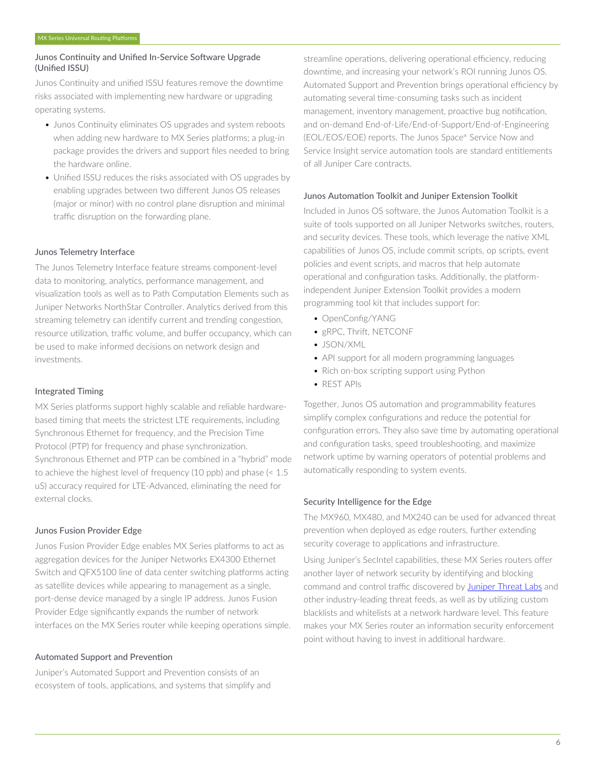#### Junos Continuity and Unified In-Service Software Upgrade (Unified ISSU)

Junos Continuity and unified ISSU features remove the downtime risks associated with implementing new hardware or upgrading operating systems.

- Junos Continuity eliminates OS upgrades and system reboots when adding new hardware to MX Series platforms; a plug-in package provides the drivers and support files needed to bring the hardware online.
- Unified ISSU reduces the risks associated with OS upgrades by enabling upgrades between two different Junos OS releases (major or minor) with no control plane disruption and minimal traffic disruption on the forwarding plane.

#### Junos Telemetry Interface

The Junos Telemetry Interface feature streams component-level data to monitoring, analytics, performance management, and visualization tools as well as to Path Computation Elements such as Juniper Networks NorthStar Controller. Analytics derived from this streaming telemetry can identify current and trending congestion, resource utilization, traffic volume, and buffer occupancy, which can be used to make informed decisions on network design and investments.

#### Integrated Timing

MX Series platforms support highly scalable and reliable hardwarebased timing that meets the strictest LTE requirements, including Synchronous Ethernet for frequency, and the Precision Time Protocol (PTP) for frequency and phase synchronization. Synchronous Ethernet and PTP can be combined in a "hybrid" mode to achieve the highest level of frequency (10 ppb) and phase (< 1.5 uS) accuracy required for LTE-Advanced, eliminating the need for external clocks.

### Junos Fusion Provider Edge

Junos Fusion Provider Edge enables MX Series platforms to act as aggregation devices for the Juniper Networks EX4300 Ethernet Switch and QFX5100 line of data center switching platforms acting as satellite devices while appearing to management as a single, port-dense device managed by a single IP address. Junos Fusion Provider Edge significantly expands the number of network interfaces on the MX Series router while keeping operations simple.

#### Automated Support and Prevention

Juniper's Automated Support and Prevention consists of an ecosystem of tools, applications, and systems that simplify and

streamline operations, delivering operational efficiency, reducing downtime, and increasing your network's ROI running Junos OS. Automated Support and Prevention brings operational efficiency by automating several time-consuming tasks such as incident management, inventory management, proactive bug notification, and on-demand End-of-Life/End-of-Support/End-of-Engineering (EOL/EOS/EOE) reports. The Junos Space® Service Now and Service Insight service automation tools are standard entitlements of all Juniper Care contracts.

#### Junos Automation Toolkit and Juniper Extension Toolkit

Included in Junos OS software, the Junos Automation Toolkit is a suite of tools supported on all Juniper Networks switches, routers, and security devices. These tools, which leverage the native XML capabilities of Junos OS, include commit scripts, op scripts, event policies and event scripts, and macros that help automate operational and configuration tasks. Additionally, the platformindependent Juniper Extension Toolkit provides a modern programming tool kit that includes support for:

- OpenConfig/YANG
- gRPC, Thrift, NETCONF
- JSON/XML
- API support for all modern programming languages
- Rich on-box scripting support using Python
- REST APIs

Together, Junos OS automation and programmability features simplify complex configurations and reduce the potential for configuration errors. They also save time by automating operational and configuration tasks, speed troubleshooting, and maximize network uptime by warning operators of potential problems and automatically responding to system events.

#### Security Intelligence for the Edge

The MX960, MX480, and MX240 can be used for advanced threat prevention when deployed as edge routers, further extending security coverage to applications and infrastructure.

Using Juniper's SecIntel capabilities, these MX Series routers offer another layer of network security by identifying and blocking command and control traffic discovered by [Juniper Threat Labs](https://threatlabs.juniper.net/home/) and other industry-leading threat feeds, as well as by utilizing custom blacklists and whitelists at a network hardware level. This feature makes your MX Series router an information security enforcement point without having to invest in additional hardware.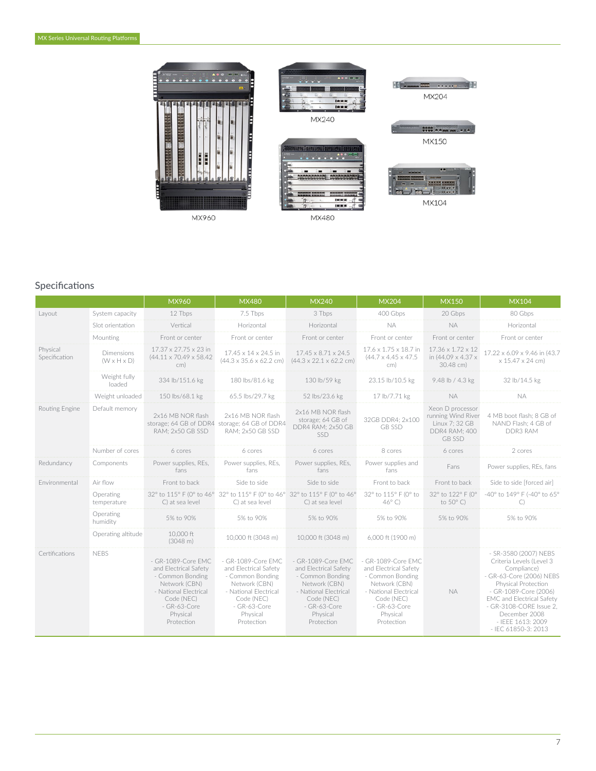

DON'N MX240 <u>. . . . . . .</u>

 $\sim$ 

 $\overline{1}$ 



MX480



MX104

# Specifications

|                           |                                       | MX960                                                                                                                                                             | <b>MX480</b>                                                                                                                                                      | <b>MX240</b>                                                                                                                                                        | <b>MX204</b>                                                                                                                                                      | <b>MX150</b>                                                                               | <b>MX104</b>                                                                                                                                                                                                                                                      |
|---------------------------|---------------------------------------|-------------------------------------------------------------------------------------------------------------------------------------------------------------------|-------------------------------------------------------------------------------------------------------------------------------------------------------------------|---------------------------------------------------------------------------------------------------------------------------------------------------------------------|-------------------------------------------------------------------------------------------------------------------------------------------------------------------|--------------------------------------------------------------------------------------------|-------------------------------------------------------------------------------------------------------------------------------------------------------------------------------------------------------------------------------------------------------------------|
| Layout                    | System capacity                       | 12 Tbps                                                                                                                                                           | 7.5 Tbps                                                                                                                                                          | 3 Tbps                                                                                                                                                              | 400 Gbps                                                                                                                                                          | 20 Gbps                                                                                    | 80 Gbps                                                                                                                                                                                                                                                           |
|                           | Slot orientation                      | Vertical                                                                                                                                                          | Horizontal                                                                                                                                                        | Horizontal                                                                                                                                                          | <b>NA</b>                                                                                                                                                         | <b>NA</b>                                                                                  | Horizontal                                                                                                                                                                                                                                                        |
|                           | Mounting                              | Front or center                                                                                                                                                   | Front or center                                                                                                                                                   | Front or center                                                                                                                                                     | Front or center                                                                                                                                                   | Front or center                                                                            | Front or center                                                                                                                                                                                                                                                   |
| Physical<br>Specification | Dimensions<br>$(W \times H \times D)$ | 17.37 x 27.75 x 23 in<br>$(44.11 \times 70.49 \times 58.42)$<br>cm)                                                                                               | 17.45 x 14 x 24.5 in<br>$(44.3 \times 35.6 \times 62.2$ cm)                                                                                                       | $17.45 \times 8.71 \times 24.5$<br>$(44.3 \times 22.1 \times 62.2$ cm)                                                                                              | 17.6 x 1.75 x 18.7 in<br>$(44.7 \times 4.45 \times 47.5$<br>cm)                                                                                                   | 17.36 x 1.72 x 12<br>in (44.09 x 4.37 x<br>30.48 cm)                                       | 17.22 x 6.09 x 9.46 in (43.7<br>x 15.47 x 24 cm)                                                                                                                                                                                                                  |
|                           | Weight fully<br>loaded                | 334 lb/151.6 kg                                                                                                                                                   | 180 lbs/81.6 kg                                                                                                                                                   | 130 lb/59 kg                                                                                                                                                        | 23.15 lb/10.5 kg                                                                                                                                                  | 9.48 lb / 4.3 kg                                                                           | 32 lb/14.5 kg                                                                                                                                                                                                                                                     |
|                           | Weight unloaded                       | 150 lbs/68.1 kg                                                                                                                                                   | 65.5 lbs/29.7 kg                                                                                                                                                  | 52 lbs/23.6 kg                                                                                                                                                      | 17 lb/7.71 kg                                                                                                                                                     | <b>NA</b>                                                                                  | NA.                                                                                                                                                                                                                                                               |
| Routing Engine            | Default memory                        | 2x16 MB NOR flash<br>storage; 64 GB of DDR4 storage; 64 GB of DDR4<br><b>RAM: 2x50 GB SSD</b>                                                                     | 2x16 MB NOR flash<br>RAM: 2x50 GB SSD                                                                                                                             | 2x16 MB NOR flash<br>storage; 64 GB of<br>DDR4 RAM: 2x50 GB<br><b>SSD</b>                                                                                           | 32GB DDR4; 2x100<br><b>GB SSD</b>                                                                                                                                 | Xeon D processor<br>running Wind River<br>Linux 7: 32 GB<br>DDR4 RAM: 400<br><b>GB SSD</b> | 4 MB boot flash; 8 GB of<br>NAND Flash; 4 GB of<br>DDR3 RAM                                                                                                                                                                                                       |
|                           | Number of cores                       | 6 cores                                                                                                                                                           | 6 cores                                                                                                                                                           | 6 cores                                                                                                                                                             | 8 cores                                                                                                                                                           | 6 cores                                                                                    | 2 cores                                                                                                                                                                                                                                                           |
| Redundancy                | Components                            | Power supplies, REs,<br>fans                                                                                                                                      | Power supplies, REs.<br>fans                                                                                                                                      | Power supplies, REs,<br>fans                                                                                                                                        | Power supplies and<br>fans                                                                                                                                        | Fans                                                                                       | Power supplies, REs, fans                                                                                                                                                                                                                                         |
| Environmental             | Air flow                              | Front to back                                                                                                                                                     | Side to side                                                                                                                                                      | Side to side                                                                                                                                                        | Front to back                                                                                                                                                     | Front to back                                                                              | Side to side [forced air]                                                                                                                                                                                                                                         |
|                           | Operating<br>temperature              | C) at sea level                                                                                                                                                   | C) at sea level                                                                                                                                                   | 32° to 115° F (0° to 46° 32° to 115° F (0° to 46° 32° to 115° F (0° to 46°<br>C) at sea level                                                                       | 32° to 115° F (0° to<br>$46^\circ$ C)                                                                                                                             | 32° to 122° F (0°<br>to $50^{\circ}$ C)                                                    | -40° to 149° F (-40° to 65°<br>C)                                                                                                                                                                                                                                 |
|                           | Operating<br>humidity                 | 5% to 90%                                                                                                                                                         | 5% to 90%                                                                                                                                                         | 5% to 90%                                                                                                                                                           | 5% to 90%                                                                                                                                                         | 5% to 90%                                                                                  | 5% to 90%                                                                                                                                                                                                                                                         |
|                           | Operating altitude                    | 10,000 ft<br>(3048 m)                                                                                                                                             | 10,000 ft (3048 m)                                                                                                                                                | 10,000 ft (3048 m)                                                                                                                                                  | 6,000 ft (1900 m)                                                                                                                                                 |                                                                                            |                                                                                                                                                                                                                                                                   |
| Certifications            | <b>NFBS</b>                           | - GR-1089-Core EMC<br>and Electrical Safety<br>- Common Bonding<br>Network (CBN)<br>- National Electrical<br>Code (NEC)<br>- GR-63-Core<br>Physical<br>Protection | - GR-1089-Core EMC<br>and Electrical Safety<br>- Common Bonding<br>Network (CBN)<br>- National Electrical<br>Code (NEC)<br>- GR-63-Core<br>Physical<br>Protection | - GR-1089-Core EMC<br>and Electrical Safety<br>- Common Bonding<br>Network (CBN)<br>- National Electrical<br>Code (NEC)<br>$-$ GR-63-Core<br>Physical<br>Protection | - GR-1089-Core EMC<br>and Electrical Safety<br>- Common Bonding<br>Network (CBN)<br>- National Electrical<br>Code (NEC)<br>- GR-63-Core<br>Physical<br>Protection | <b>NA</b>                                                                                  | - SR-3580 (2007) NEBS<br>Criteria Levels (Level 3<br>Compliance)<br>- GR-63-Core (2006) NEBS<br>Physical Protection<br>- GR-1089-Core (2006)<br>EMC and Electrical Safety<br>- GR-3108-CORE Issue 2.<br>December 2008<br>- IEEE 1613: 2009<br>- IEC 61850-3: 2013 |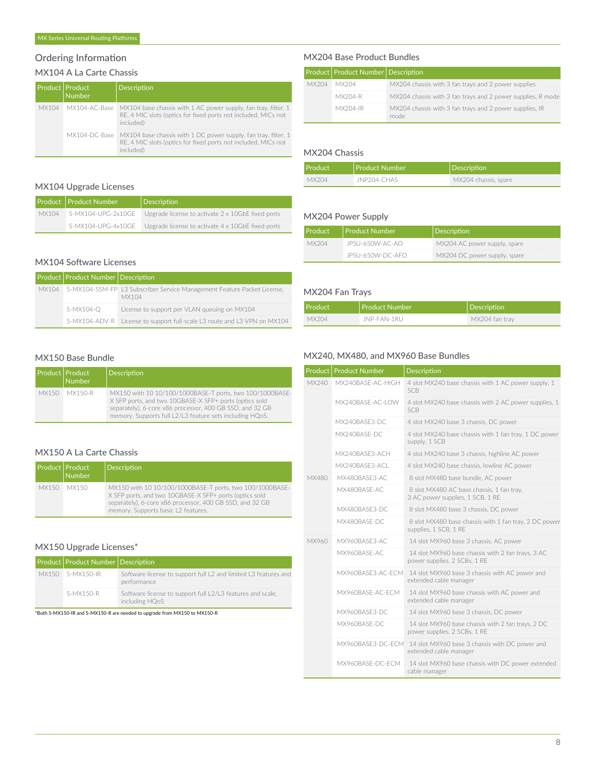# Ordering Information

# MX104 A La Carte Chassis

|  | Product   Product<br><b>Number</b> | Description                                                                                                                                                 |
|--|------------------------------------|-------------------------------------------------------------------------------------------------------------------------------------------------------------|
|  | MX104 MX104-AC-Base                | MX104 base chassis with 1 AC power supply, fan tray, filter, 1<br>RE, 4 MIC slots (optics for fixed ports not included, MICs not<br>included)               |
|  |                                    | MX104-DC-Base MX104 base chassis with 1 DC power supply, fan tray, filter, 1<br>RE, 4 MIC slots (optics for fixed ports not included, MICs not<br>included) |

#### MX104 Upgrade Licenses

|       | Product   Product Number | Description                                                          |
|-------|--------------------------|----------------------------------------------------------------------|
| MX104 |                          | S-MX104-UPG-2x10GE Upgrade license to activate 2 x 10GbE fixed ports |
|       |                          | S-MX104-UPG-4x10GE Upgrade license to activate 4 x 10GbE fixed ports |

# MX104 Software Licenses

| Product Product Number Description |                                                                                        |
|------------------------------------|----------------------------------------------------------------------------------------|
|                                    | MX104 S-MX104-SSM-FP L3 Subscriber Service Management Feature Packet License,<br>MX104 |
| S-MX104-O                          | License to support per VLAN queuing on MX104                                           |
|                                    | S-MX104-ADV-R License to support full-scale L3 route and L3 VPN on MX104               |

#### MX150 Base Bundle

| <b>Product Product</b><br>Number | Description                                                                                                                                                                                                                                |
|----------------------------------|--------------------------------------------------------------------------------------------------------------------------------------------------------------------------------------------------------------------------------------------|
| MX150 MX150-R                    | MX150 with 10 10/100/1000BASE-T ports, two 100/1000BASE-<br>X SFP ports, and two 10GBASE-X SFP+ ports (optics sold<br>separately), 6-core x86 processor, 400 GB SSD, and 32 GB<br>memory. Supports full L2/L3 feature sets including HQoS. |

#### MX150 A La Carte Chassis

| <b>Product Product</b> | Number | <b>Description</b>                                                                                                                                                                                                    |
|------------------------|--------|-----------------------------------------------------------------------------------------------------------------------------------------------------------------------------------------------------------------------|
| MX150 MX150            |        | MX150 with 10 10/100/1000BASE-T ports, two 100/1000BASE-<br>X SFP ports, and two 10GBASE-X SFP+ ports (optics sold<br>separately), 6-core x86 processor, 400 GB SSD, and 32 GB<br>memory. Supports basic L2 features. |

#### MX150 Upgrade Licenses\*

| Product Product Number Description |                                                                                |
|------------------------------------|--------------------------------------------------------------------------------|
| MX150 S-MX150-IR                   | Software license to support full L2 and limited L3 features and<br>performance |
| S-MX150-R                          | Software license to support full L2/L3 features and scale,<br>including HQoS   |

\*Both S-MX150-IR and S-MX150-R are needed to upgrade from MX150 to MX150-R

#### MX204 Base Product Bundles

|       | Product   Product Number   Description |                                                                 |
|-------|----------------------------------------|-----------------------------------------------------------------|
| MX204 | MX204                                  | MX204 chassis with 3 fan trays and 2 power supplies             |
|       | MX204-R                                | MX204 chassis with 3 fan trays and 2 power supplies, R mode     |
|       | MX204-IR                               | MX204 chassis with 3 fan trays and 2 power supplies, IR<br>mode |

#### MX204 Chassis

| Product | <b>Product Number</b> | <i><b>Description</b></i> |
|---------|-----------------------|---------------------------|
| MX204   | JNP204-CHAS           | MX204 chassis, spare      |

#### MX204 Power Supply

| <b>Product</b> | Product Number   | Description                  |
|----------------|------------------|------------------------------|
| MX204          | JPSU-650W-AC-AO  | MX204 AC power supply, spare |
|                | JPSU-650W-DC-AFO | MX204 DC power supply, spare |

#### MX204 Fan Trays

| <b>Product</b> | Product Number | Description    |
|----------------|----------------|----------------|
| MX204          | JNP-FAN-1RU    | MX204 fan trav |

# MX240, MX480, and MX960 Base Bundles

|       | Product   Product Number | <b>Description</b>                                                                |
|-------|--------------------------|-----------------------------------------------------------------------------------|
| MX240 | MX240BASF-AC-HIGH        | 4 slot MX240 base chassis with 1 AC power supply, 1<br>SCB                        |
|       | MX240BASF-AC-LOW         | 4 slot MX240 base chassis with 2 AC power supplies, 1<br><b>SCB</b>               |
|       | MX240BASE3-DC            | 4 slot MX240 base 3 chassis, DC power                                             |
|       | MX240BASF-DC             | 4 slot MX240 base chassis with 1 fan tray, 1 DC power<br>supply, 1 SCB            |
|       | MX240BASE3-ACH           | 4 slot MX240 base 3 chassis, highline AC power                                    |
|       | MX240BASE3-ACL           | 4 slot MX240 base chassis, lowline AC power                                       |
| MX480 | MX480BASE3-AC            | 8 slot MX480 base bundle, AC power                                                |
|       | MX480BASE-AC             | 8 slot MX480 AC base chassis, 1 fan tray,<br>3 AC power supplies, 1 SCB, 1 RE     |
|       | MX480BASE3-DC            | 8 slot MX480 base 3 chassis, DC power                                             |
|       | MX480BASF-DC             | 8 slot MX480 base chassis with 1 fan tray, 2 DC power<br>supplies, 1 SCB, 1 RE    |
| MX960 | MX960BASE3-AC            | 14 slot MX960 base 3 chassis, AC power                                            |
|       | MX960BASF-AC             | 14 slot MX960 base chassis with 2 fan trays, 3 AC<br>power supplies, 2 SCBs, 1 RE |
|       | MX960BASE3-AC-ECM        | 14 slot MX960 base 3 chassis with AC power and<br>extended cable manager          |
|       | MX960BASF-AC-FCM         | 14 slot MX960 base chassis with AC power and<br>extended cable manager            |
|       | MX960BASE3-DC            | 14 slot MX960 base 3 chassis, DC power                                            |
|       | MX960BASF-DC             | 14 slot MX960 base chassis with 2 fan trays, 2 DC<br>power supplies, 2 SCBs, 1 RE |
|       | MX960BASE3-DC-ECM        | 14 slot MX960 base 3 chassis with DC power and<br>extended cable manager          |
|       | MX960BASF-DC-FCM         | 14 slot MX960 base chassis with DC power extended<br>cable manager                |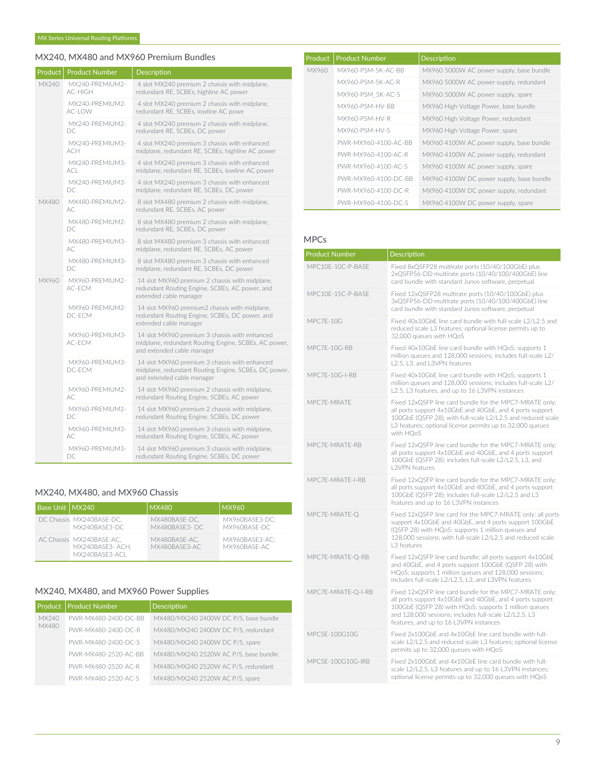# MX240, MX480 and MX960 Premium Bundles

| Product | <b>Product Number</b>         | Description                                                                                                                         |
|---------|-------------------------------|-------------------------------------------------------------------------------------------------------------------------------------|
| MX240   | MX240-PREMIUM2-<br>AC-HIGH    | 4 slot MX240 premium 2 chassis with midplane,<br>redundant RE, SCBEs, highline AC power                                             |
|         | MX240-PREMIUM2-<br>AC-LOW     | 4 slot MX240 premium 2 chassis with midplane,<br>redundant RE, SCBEs, lowline AC powe                                               |
|         | MX240-PREMIUM2-<br>DC         | 4 slot MX240 premium 2 chassis with midplane,<br>redundant RE, SCBEs, DC power                                                      |
|         | MX240-PREMIUM3-<br><b>ACH</b> | 4 slot MX240 premium 3 chassis with enhanced<br>midplane, redundant RE, SCBEs, highline AC power                                    |
|         | MX240-PREMIUM3-<br>ACL.       | 4 slot MX240 premium 3 chassis with enhanced<br>midplane, redundant RE, SCBEs, lowline AC power                                     |
|         | MX240-PREMIUM3-<br>DC         | 4 slot MX240 premium 3 chassis with enhanced<br>midplane, redundant RE, SCBEs, DC power                                             |
| MX480   | MX480-PREMIUM2-<br>AC.        | 8 slot MX480 premium 2 chassis with midplane,<br>redundant RE, SCBEs, AC power                                                      |
|         | MX480-PREMIUM2-<br>DC         | 8 slot MX480 premium 2 chassis with midplane,<br>redundant RE. SCBEs. DC power                                                      |
|         | MX480-PREMIUM3-<br>AC.        | 8 slot MX480 premium 3 chassis with enhanced<br>midplane, redundant RE, SCBEs, AC power                                             |
|         | MX480-PREMIUM3-<br>DC.        | 8 slot MX480 premium 3 chassis with enhanced<br>midplane, redundant RE, SCBEs, DC power                                             |
| MX960   | MX960-PREMIUM2-<br>AC-ECM     | 14 slot MX960 premium 2 chassis with midplane,<br>redundant Routing Engine, SCBEs, AC power, and<br>extended cable manager          |
|         | MX960-PREMIUM2-<br>DC-ECM     | 14 slot MX960 premium2 chassis with midplane,<br>redundant Routing Engine, SCBEs, DC power, and<br>extended cable manager           |
|         | MX960-PREMIUM3-<br>AC-ECM     | 14 slot MX960 premium 3 chassis with enhanced<br>midplane, redundant Routing Engine, SCBEs, AC power,<br>and extended cable manager |
|         | MX960-PREMIUM3-<br>DC-ECM     | 14 slot MX960 premium 3 chassis with enhanced<br>midplane, redundant Routing Engine, SCBEs, DC power,<br>and extended cable manager |
|         | MX960-PREMIUM2-<br>AC.        | 14 slot MX960 premium 2 chassis with midplane,<br>redundant Routing Engine, SCBEs, AC power                                         |
|         | MX960-PREMIUM2-<br>DC.        | 14 slot MX960 premium 2 chassis with midplane,<br>redundant Routing Engine, SCBEs, DC power                                         |
|         | MX960-PREMIUM3-<br>АC         | 14 slot MX960 premium 3 chassis with midplane,<br>redundant Routing Engine, SCBEs, AC power                                         |
|         | MX960-PREMIUM3-<br>DC.        | 14 slot MX960 premium 3 chassis with midplane,<br>redundant Routing Engine, SCBEs, DC power                                         |

# MX240, MX480, and MX960 Chassis

| <b>Base Unit   MX240</b> |                                                               | <b>MX480</b>                   | MX960                          |
|--------------------------|---------------------------------------------------------------|--------------------------------|--------------------------------|
|                          | DC Chassis MX240BASE-DC,<br>MX240BASE3-DC                     | MX480BASE-DC.<br>MX480BASE3-DC | MX960BASE3-DC:<br>MX960BASE-DC |
|                          | AC Chassis MX240BASE-AC.<br>MX240BASE3-ACH.<br>MX240BASE3-ACL | MX480BASE-AC.<br>MX480BASE3-AC | MX960BASE3-AC:<br>MX960BASE-AC |

# MX240, MX480, and MX960 Power Supplies

|       | Product   Product Number | <b>Description</b>                    |
|-------|--------------------------|---------------------------------------|
| MX240 | PWR-MX480-2400-DC-BB     | MX480/MX240 2400W DC P/S, base bundle |
| MX480 | PWR-MX480-2400-DC-R      | MX480/MX240 2400W DC P/S, redundant   |
|       | PWR-MX480-2400-DC-S      | MX480/MX240 2400W DC P/S, spare       |
|       | PWR-MX480-2520-AC-BB     | MX480/MX240 2520W AC P/S, base bundle |
|       | PWR-MX480-2520-AC-R      | MX480/MX240 2520W AC P/S, redundant   |
|       | PWR-MX480-2520-AC-S      | MX480/MX240 2520W AC P/S, spare       |

| Product | <b>Product Number</b> | <b>Description</b>                       |
|---------|-----------------------|------------------------------------------|
| MX960   | MX960-PSM-5K-AC-BB    | MX960 5000W AC power supply, base bundle |
|         | MX960-PSM-5K-AC-R     | MX960 5000W AC power supply, redundant   |
|         | MX960-PSM 5K-AC-S     | MX960 5000W AC power supply, spare       |
|         | MX960-PSM-HV-BB       | MX960 High Voltage Power, base bundle    |
|         | MX960-PSM-HV-R        | MX960 High Voltage Power, redundant      |
|         | MX960-PSM-HV-S        | MX960 High Voltage Power, spare          |
|         | PWR-MX960-4100-AC-RR  | MX960 4100W AC power supply, base bundle |
|         | PWR-MX960-4100-AC-R   | MX960 4100W AC power supply, redundant   |
|         | PWR-MX960-4100-AC-S   | MX960 4100W AC power supply, spare       |
|         | PWR-MX960-4100-DC-RR  | MX960 4100W DC power supply, base bundle |
|         | PWR-MX960-4100-DC-R   | MX960 4100W DC power supply, redundant   |
|         | PWR-MX960-4100-DC-S   | MX960 4100W DC power supply, spare       |

#### MPCs

| <b>Product Number</b> | <b>Description</b>                                                                                                                                                                                                                                                              |
|-----------------------|---------------------------------------------------------------------------------------------------------------------------------------------------------------------------------------------------------------------------------------------------------------------------------|
| MPC10F-10C-P-BASF     | Fixed 8xQSFP28 multirate ports (10/40/100GbE) plus<br>2xQSFP56-DD multirate ports (10/40/100/400GbE) line<br>card bundle with standard Junos software, perpetual                                                                                                                |
| MPC10E-15C-P-BASE     | Fixed 12xQSFP28 multirate ports (10/40/100GbE) plus<br>3xQSFP56-DD multirate ports (10/40/100/400GbE) line<br>card bundle with standard Junos software, perpetual                                                                                                               |
| <b>MPC7F-10G</b>      | Fixed 40x10GbF line card bundle with full-scale L2/L2.5 and<br>reduced scale L3 features; optional license permits up to<br>32,000 queues with HOoS                                                                                                                             |
| MPC7E-10G-RB          | Fixed 40x10GbE line card bundle with HQoS; supports 1<br>million queues and 128,000 sessions; includes full-scale L2/<br>L2.5, L3, and L3VPN features                                                                                                                           |
| MPC7E-10G-I-RB        | Fixed 40x10GbE line card bundle with HQoS; supports 1<br>million queues and 128,000 sessions; includes full-scale L2/<br>L2.5, L3 features, and up to 16 L3VPN instances                                                                                                        |
| MPC7E-MRATE           | Fixed 12xQSFP line card bundle for the MPC7-MRATE only;<br>all ports support 4x10GbE and 40GbE, and 4 ports support<br>100GbE (QSFP 28), with full-scale L2/L2.5 and reduced scale<br>L3 features; optional license permits up to 32,000 queues<br>with HOoS                    |
| MPC7E-MRATE-RB        | Fixed 12xQSFP line card bundle for the MPC7-MRATE only;<br>all ports support 4x10GbE and 40GbE, and 4 ports support<br>100GbE (QSFP 28); includes full-scale L2/L2.5, L3, and<br>I 3VPN features                                                                                |
| MPC7E-MRATE-I-RB      | Fixed 12xQSFP line card bundle for the MPC7-MRATE only;<br>all ports support 4x10GbE and 40GbE, and 4 ports support<br>100GbE (QSFP 28); includes full-scale L2/L2.5 and L3<br>features and up to 16 L3VPN instances                                                            |
| MPC7E-MRATE-Q         | Fixed 12xQSFP line card for the MPC7-MRATE only; all ports<br>support 4x10GbE and 40GbE, and 4 ports support 100GbE<br>(QSFP 28) with HQoS; supports 1 million queues and<br>128,000 sessions: with full-scale L2/L2.5 and reduced scale<br>L3 features                         |
| MPC7E-MRATE-Q-RB      | Fixed 12xQSFP line card bundle; all ports support 4x10GbE<br>and 40GbE, and 4 ports support 100GbE (QSFP 28) with<br>HQoS; supports 1 million queues and 128,000 sessions;<br>includes full-scale L2/L2.5, L3, and L3VPN features                                               |
| MPC7E-MRATE-Q-I-RB    | Fixed 12xQSFP line card bundle for the MPC7-MRATE only;<br>all ports support 4x10GbE and 40GbE, and 4 ports support<br>100GbE (QSFP 28) with HQoS; supports 1 million queues<br>and 128,000 sessions; includes full-scale L2/L2.5, L3<br>features, and up to 16 L3VPN instances |
| MPC5E-100G10G         | Fixed 2x100GbE and 4x10GbE line card bundle with full-<br>scale L2/L2.5 and reduced scale L3 features; optional license<br>permits up to 32,000 queues with HQoS                                                                                                                |
| MPC5E-100G10G-IRB     | Fixed 2x100GbE and 4x10GbE line card bundle with full-<br>scale L2/L2.5, L3 features and up to 16 L3VPN instances;<br>optional license permits up to 32,000 queues with HQoS                                                                                                    |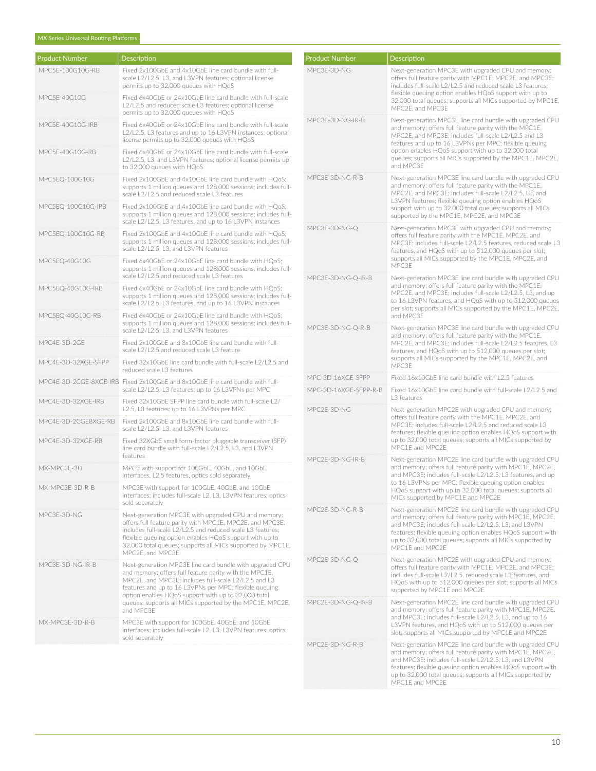| <b>Product Number</b> | <b>Description</b>                                                                                                                                                                                                                                                                                                         | <b>Product Number</b> | Description                                                                                                                                                                                                                                                                                                                   |  |
|-----------------------|----------------------------------------------------------------------------------------------------------------------------------------------------------------------------------------------------------------------------------------------------------------------------------------------------------------------------|-----------------------|-------------------------------------------------------------------------------------------------------------------------------------------------------------------------------------------------------------------------------------------------------------------------------------------------------------------------------|--|
| MPC5E-100G10G-RB      | Fixed 2x100GbE and 4x10GbE line card bundle with full-<br>scale L2/L2.5, L3, and L3VPN features; optional license<br>permits up to 32,000 queues with HQoS                                                                                                                                                                 | MPC3E-3D-NG           | Next-generation MPC3E with upgraded CPU and memory;<br>offers full feature parity with MPC1E, MPC2E, and MPC3E:<br>includes full-scale L2/L2.5 and reduced scale L3 features:<br>flexible queuing option enables HQoS support with up to<br>32,000 total queues; supports all MICs supported by MPC1E,<br>MPC2E, and MPC3E    |  |
| MPC5E-40G10G          | Fixed 6x40GbE or 24x10GbE line card bundle with full-scale<br>L2/L2.5 and reduced scale L3 features; optional license<br>permits up to 32,000 queues with HQoS                                                                                                                                                             |                       |                                                                                                                                                                                                                                                                                                                               |  |
| MPC5E-40G10G-IRB      | Fixed 6x40GbE or 24x10GbE line card bundle with full-scale<br>L2/L2.5, L3 features and up to 16 L3VPN instances; optional<br>license permits up to 32,000 queues with HQoS                                                                                                                                                 | MPC3E-3D-NG-IR-B      | Next-generation MPC3E line card bundle with upgraded CPU<br>and memory; offers full feature parity with the MPC1E,<br>MPC2E, and MPC3E; includes full-scale L2/L2.5 and L3<br>features and up to 16 L3VPNs per MPC; flexible queuing                                                                                          |  |
| MPC5E-40G10G-RB       | Fixed 6x40GbE or 24x10GbE line card bundle with full-scale<br>L2/L2.5, L3, and L3VPN features; optional license permits up<br>to 32,000 queues with HQoS                                                                                                                                                                   |                       | option enables HQoS support with up to 32,000 total<br>queues; supports all MICs supported by the MPC1E, MPC2E,<br>and MPC3E                                                                                                                                                                                                  |  |
| MPC5EQ-100G10G        | Fixed 2x100GbE and 4x10GbE line card bundle with HOoS:<br>supports 1 million queues and 128,000 sessions; includes full-<br>scale L2/L2.5 and reduced scale L3 features                                                                                                                                                    | MPC3F-3D-NG-R-B       | Next-generation MPC3E line card bundle with upgraded CPU<br>and memory; offers full feature parity with the MPC1E,<br>MPC2E, and MPC3E; includes full-scale L2/L2.5, L3, and<br>L3VPN features; flexible queuing option enables HQoS                                                                                          |  |
| MPC5EQ-100G10G-IRB    | Fixed 2x100GbE and 4x10GbE line card bundle with HQoS;<br>supports 1 million queues and 128,000 sessions; includes full-<br>scale L2/L2.5, L3 features, and up to 16 L3VPN instances                                                                                                                                       |                       | support with up to 32,000 total queues; supports all MICs<br>supported by the MPC1E, MPC2E, and MPC3E                                                                                                                                                                                                                         |  |
| MPC5EQ-100G10G-RB     | Fixed 2x100GbE and 4x10GbE line card bundle with HQoS;<br>supports 1 million queues and 128,000 sessions: includes full-<br>scale L2/L2.5, L3, and L3VPN features                                                                                                                                                          | MPC3E-3D-NG-Q         | Next-generation MPC3E with upgraded CPU and memory;<br>offers full feature parity with the MPC1E, MPC2E, and<br>MPC3E; includes full-scale L2/L2.5 features, reduced scale L3<br>features, and HQoS with up to 512,000 queues per slot;<br>supports all MICs supported by the MPC1E, MPC2E, and                               |  |
| MPC5EQ-40G10G         | Fixed 6x40GbE or 24x10GbE line card bundle with HQoS;<br>supports 1 million queues and 128,000 sessions; includes full-<br>scale L2/L2.5 and reduced scale L3 features                                                                                                                                                     | MPC3E-3D-NG-Q-IR-B    | MPC3E<br>Next-generation MPC3E line card bundle with upgraded CPU                                                                                                                                                                                                                                                             |  |
| MPC5EQ-40G10G-IRB     | Fixed 6x40GbE or 24x10GbE line card bundle with HQoS;<br>supports 1 million queues and 128,000 sessions; includes full-<br>scale L2/L2.5, L3 features, and up to 16 L3VPN instances                                                                                                                                        |                       | and memory; offers full feature parity with the MPC1E,<br>MPC2E, and MPC3E; includes full-scale L2/L2.5, L3, and up<br>to 16 L3VPN features, and HQoS with up to 512,000 queues<br>per slot; supports all MICs supported by the MPC1E, MPC2E,                                                                                 |  |
| MPC5EQ-40G10G-RB      | Fixed 6x40GbE or 24x10GbE line card bundle with HQoS;<br>supports 1 million queues and 128,000 sessions; includes full-<br>MPC3E-3D-NG-Q-R-B<br>scale L2/L2.5, L3, and L3VPN features                                                                                                                                      |                       | and MPC3E<br>Next-generation MPC3E line card bundle with upgraded CPU                                                                                                                                                                                                                                                         |  |
| MPC4E-3D-2GE          | Fixed 2x100GbE and 8x10GbE line card bundle with full-<br>scale L2/L2.5 and reduced scale L3 feature                                                                                                                                                                                                                       |                       | and memory; offers full feature parity with the MPC1E,<br>MPC2E, and MPC3E; includes full-scale L2/L2.5 features, L3<br>features, and HQoS with up to 512,000 queues per slot;<br>supports all MICs supported by the MPC1E, MPC2E, and<br>MPC3E                                                                               |  |
| MPC4E-3D-32XGE-SFPP   | Fixed 32x10GbE line card bundle with full-scale L2/L2.5 and<br>reduced scale L3 features                                                                                                                                                                                                                                   |                       |                                                                                                                                                                                                                                                                                                                               |  |
|                       | MPC4E-3D-2CGE-8XGE-IRB Fixed 2x100GbE and 8x10GbE line card bundle with full-                                                                                                                                                                                                                                              | MPC-3D-16XGE-SFPP     | Fixed 16x10GbE line card bundle with L2.5 features                                                                                                                                                                                                                                                                            |  |
| MPC4E-3D-32XGE-IRB    | scale L2/L2.5, L3 features; up to 16 L3VPNs per MPC<br>Fixed 32x10GbE SFPP line card bundle with full-scale L2/                                                                                                                                                                                                            | MPC-3D-16XGE-SFPP-R-B | Fixed 16x10GbE line card bundle with full-scale L2/L2.5 and<br>L3 features                                                                                                                                                                                                                                                    |  |
| MPC4E-3D-2CGE8XGE-RB  | L2.5, L3 features; up to 16 L3VPNs per MPC<br>Fixed 2x100GbE and 8x10GbE line card bundle with full-<br>scale L2/L2.5, L3, and L3VPN features                                                                                                                                                                              | MPC2E-3D-NG           | Next-generation MPC2E with upgraded CPU and memory;<br>offers full feature parity with the MPC1E, MPC2E, and<br>MPC3E; includes full-scale L2/L2.5 and reduced scale L3<br>features; flexible queuing option enables HQoS support with<br>up to 32,000 total queues; supports all MICs supported by<br>MPC1E and MPC2E        |  |
| MPC4E-3D-32XGE-RB     | Fixed 32XGbE small form-factor pluggable transceiver (SFP)<br>line card bundle with full-scale L2/L2.5, L3, and L3VPN                                                                                                                                                                                                      |                       |                                                                                                                                                                                                                                                                                                                               |  |
| MX-MPC3E-3D           | features<br>MPC3 with support for 100GbE, 40GbE, and 10GbE<br>interfaces, L2.5 features, optics sold separately                                                                                                                                                                                                            | MPC2E-3D-NG-IR-B      | Next-generation MPC2E line card bundle with upgraded CPU<br>and memory; offers full feature parity with MPC1E, MPC2E,<br>and MPC3E; includes full-scale L2/L2.5, L3 features, and up                                                                                                                                          |  |
| MX-MPC3E-3D-R-B       | MPC3E with support for 100GbE, 40GbE, and 10GbE<br>interfaces; includes full-scale L2, L3, L3VPN features; optics<br>sold separately                                                                                                                                                                                       |                       | to 16 L3VPNs per MPC; flexible queuing option enables<br>HQoS support with up to 32,000 total queues; supports all<br>MICs supported by MPC1E and MPC2E                                                                                                                                                                       |  |
| MPC3E-3D-NG           | Next-generation MPC3E with upgraded CPU and memory;<br>offers full feature parity with MPC1E, MPC2E, and MPC3E;<br>includes full-scale L2/L2.5 and reduced scale L3 features;<br>flexible queuing option enables HQoS support with up to<br>32,000 total queues; supports all MICs supported by MPC1E,<br>MPC2E, and MPC3E | MPC2E-3D-NG-R-B       | Next-generation MPC2E line card bundle with upgraded CPU<br>and memory; offers full feature parity with MPC1E, MPC2E,<br>and MPC3E; includes full-scale L2/L2.5, L3, and L3VPN<br>features; flexible queuing option enables HQoS support with<br>up to 32,000 total queues; supports all MICs supported by<br>MPC1E and MPC2E |  |
| MPC3E-3D-NG-IR-B      | Next-generation MPC3E line card bundle with upgraded CPU<br>and memory; offers full feature parity with the MPC1E,<br>MPC2E, and MPC3E; includes full-scale L2/L2.5 and L3<br>features and up to 16 L3VPNs per MPC; flexible queuing<br>option enables HQoS support with up to 32,000 total                                | MPC2E-3D-NG-Q         | Next-generation MPC2E with upgraded CPU and memory;<br>offers full feature parity with MPC1E, MPC2E, and MPC3E;<br>includes full-scale L2/L2.5, reduced scale L3 features, and<br>HQoS with up to 512,000 queues per slot; supports all MICs<br>supported by MPC1E and MPC2E                                                  |  |
| MX-MPC3E-3D-R-B       | queues; supports all MICs supported by the MPC1E, MPC2E,<br>and MPC3E<br>MPC3E with support for 100GbE, 40GbE, and 10GbE                                                                                                                                                                                                   | MPC2E-3D-NG-Q-IR-B    | Next-generation MPC2E line card bundle with upgraded CPU<br>and memory; offers full feature parity with MPC1E, MPC2E,<br>and MPC3E; includes full-scale L2/L2.5, L3, and up to 16<br>L3VPN features, and HQoS with up to 512,000 queues per                                                                                   |  |
|                       | interfaces; includes full-scale L2, L3, L3VPN features; optics<br>sold separately                                                                                                                                                                                                                                          | MPC2E-3D-NG-R-B       | slot; supports all MICs supported by MPC1E and MPC2E<br>Next-generation MPC2E line card bundle with upgraded CPU<br>and memory; offers full feature parity with MPC1E, MPC2E,<br>and MPC3E; includes full-scale L2/L2.5, L3, and L3VPN                                                                                        |  |

up to 32,000 total queues; supports all MICs supported by MPC1E and MPC2E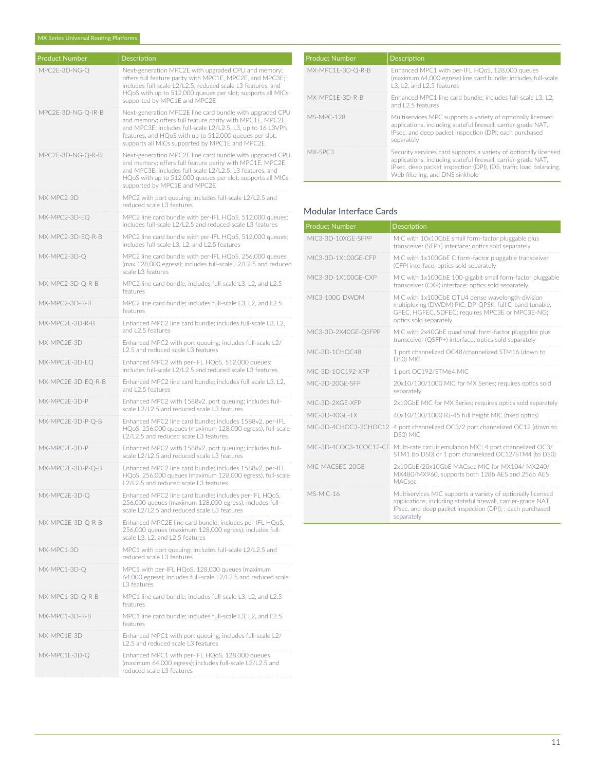| <b>Product Number</b> | <b>Description</b>                                                                                                                                                                                                                                                                              |
|-----------------------|-------------------------------------------------------------------------------------------------------------------------------------------------------------------------------------------------------------------------------------------------------------------------------------------------|
| MPC2E-3D-NG-O         | Next-generation MPC2E with upgraded CPU and memory;                                                                                                                                                                                                                                             |
|                       | offers full feature parity with MPC1E, MPC2E, and MPC3E;<br>includes full-scale L2/L2.5, reduced scale L3 features, and<br>HQoS with up to 512,000 queues per slot; supports all MICs<br>supported by MPC1E and MPC2E                                                                           |
| MPC2E-3D-NG-Q-IR-B    | Next-generation MPC2E line card bundle with upgraded CPU<br>and memory; offers full feature parity with MPC1E, MPC2E,<br>and MPC3E; includes full-scale L2/L2.5, L3, up to 16 L3VPN<br>features, and HQoS with up to 512,000 queues per slot;<br>supports all MICs supported by MPC1E and MPC2E |
| MPC2E-3D-NG-Q-R-B     | Next-generation MPC2E line card bundle with upgraded CPU<br>and memory; offers full feature parity with MPC1E, MPC2E,<br>and MPC3E; includes full-scale L2/L2.5, L3 features, and<br>HQoS with up to 512,000 queues per slot; supports all MICs<br>supported by MPC1E and MPC2E                 |
| MX-MPC2-3D            | MPC2 with port queuing; includes full-scale L2/L2.5 and<br>reduced scale L3 features                                                                                                                                                                                                            |
| MX-MPC2-3D-EQ         | MPC2 line card bundle with per-IFL HQoS, 512,000 queues;<br>includes full-scale L2/L2.5 and reduced scale L3 features                                                                                                                                                                           |
| MX-MPC2-3D-EQ-R-B     | MPC2 line card bundle with per-IFL HQoS, 512,000 queues;<br>includes full-scale L3, L2, and L2.5 features                                                                                                                                                                                       |
| MX-MPC2-3D-Q          | MPC2 line card bundle with per-IFL HQoS, 256,000 queues<br>(max 128,000 egress); includes full-scale L2/L2.5 and reduced<br>scale L3 features                                                                                                                                                   |
| MX-MPC2-3D-Q-R-B      | MPC2 line card bundle; includes full-scale L3, L2, and L2.5<br>features                                                                                                                                                                                                                         |
| MX-MPC2-3D-R-B        | MPC2 line card bundle; includes full-scale L3, L2, and L2.5<br>features                                                                                                                                                                                                                         |
| MX-MPC2F-3D-R-B       | Enhanced MPC2 line card bundle; includes full-scale L3, L2,<br>and L2.5 features                                                                                                                                                                                                                |
| MX-MPC2E-3D           | Enhanced MPC2 with port queuing; includes full-scale L2/<br>L2.5 and reduced scale L3 features                                                                                                                                                                                                  |
| MX-MPC2E-3D-EQ        | Enhanced MPC2 with per-IFL HQoS, 512,000 queues;<br>includes full-scale L2/L2.5 and reduced scale L3 features                                                                                                                                                                                   |
| MX-MPC2E-3D-EQ-R-B    | Enhanced MPC2 line card bundle; includes full-scale L3, L2,<br>and L2.5 features                                                                                                                                                                                                                |
| MX-MPC2E-3D-P         | Enhanced MPC2 with 1588v2, port queuing; includes full-<br>scale L2/L2.5 and reduced scale L3 features                                                                                                                                                                                          |
| MX-MPC2E-3D-P-Q-B     | Enhanced MPC2 line card bundle; includes 1588v2, per-IFL<br>HQoS, 256,000 queues (maximum 128,000 egress), full-scale<br>L2/L2.5 and reduced scale L3 features                                                                                                                                  |
| MX-MPC2E-3D-P         | Enhanced MPC2 with 1588v2, port queuing; includes full-<br>scale L2/L2.5 and reduced scale L3 features                                                                                                                                                                                          |
| MX-MPC2E-3D-P-Q-B     | Enhanced MPC2 line card bundle; includes 1588v2, per-IFL<br>HQoS, 256,000 queues (maximum 128,000 egress), full-scale<br>2/L2.5 and reduced scale L3 features                                                                                                                                   |
| MX-MPC2E-3D-Q         | Enhanced MPC2 line card bundle; includes per-IFL HQoS,<br>256,000 queues (maximum 128,000 egress); includes full-<br>scale L2/L2.5 and reduced scale L3 features                                                                                                                                |
| MX-MPC2E-3D-Q-R-B     | Enhanced MPC2E line card bundle; includes per-IFL HQoS,<br>256,000 queues (maximum 128,000 egress); includes full-<br>scale L3, L2, and L2.5 features                                                                                                                                           |
| MX-MPC1-3D            | MPC1 with port queuing; includes full-scale L2/L2.5 and<br>reduced scale L3 features                                                                                                                                                                                                            |
| MX-MPC1-3D-Q          | MPC1 with per-IFL HQoS, 128,000 queues (maximum<br>64,000 egress); includes full-scale L2/L2.5 and reduced scale<br>L3 features                                                                                                                                                                 |
| MX-MPC1-3D-Q-R-B      | MPC1 line card bundle; includes full-scale L3, L2, and L2.5<br>features                                                                                                                                                                                                                         |
| MX-MPC1-3D-R-B        | MPC1 line card bundle; includes full-scale L3, L2, and L2.5<br>features                                                                                                                                                                                                                         |
| MX-MPC1E-3D           | Enhanced MPC1 with port queuing; includes full-scale L2/<br>L2.5 and reduced scale L3 features                                                                                                                                                                                                  |
| MX-MPC1E-3D-Q         | Enhanced MPC1 with per-IFL HQoS, 128,000 queues<br>(maximum 64,000 egress); includes full-scale L2/L2.5 and<br>reduced scale L3 features                                                                                                                                                        |

| <b>Product Number</b> | Description                                                                                                                                                                                                                               |
|-----------------------|-------------------------------------------------------------------------------------------------------------------------------------------------------------------------------------------------------------------------------------------|
| MX-MPC1E-3D-O-R-B     | Enhanced MPC1 with per-IFL HOoS, 128,000 queues<br>(maximum 64.000 egress) line card bundle: includes full-scale<br>L3. L2. and L2.5 features                                                                                             |
| MX-MPC1F-3D-R-B       | Enhanced MPC1 line card bundle: includes full-scale L3, L2.<br>and 12.5 features                                                                                                                                                          |
| MS-MPC-128            | Multiservices MPC supports a variety of optionally licensed<br>applications, including stateful firewall, carrier-grade NAT,<br>IPsec, and deep packet inspection (DPI; each purchased<br>separately                                      |
| MX-SPC3               | Security services card supports a variety of optionally licensed<br>applications, including stateful firewall, carrier-grade NAT,<br>IPsec, deep packet inspection (DPI), IDS, traffic load balancing,<br>Web filtering, and DNS sinkhole |

# Modular Interface Cards

| <b>Product Number</b>  | <b>Description</b>                                                                                                                                                                                      |
|------------------------|---------------------------------------------------------------------------------------------------------------------------------------------------------------------------------------------------------|
| MIC3-3D-10XGF-SFPP     | MIC with 10x10GbE small form-factor pluggable plus<br>transceiver (SFP+) interface; optics sold separately                                                                                              |
| MIC3-3D-1X100GF-CFP    | MIC with 1x100GbE C form-factor pluggable transceiver<br>(CFP) interface; optics sold separately                                                                                                        |
| MIC3-3D-1X100GF-CXP    | MIC with 1x100GbE 100-gigabit small form-factor pluggable<br>transceiver (CXP) interface; optics sold separately                                                                                        |
| MIC3-100G-DWDM         | MIC with 1x100GbE OTU4 dense wavelength-division<br>multiplexing (DWDM) PIC, DP-OPSK, full C-band tunable,<br>GFEC, HGFEC, SDFEC; requires MPC3E or MPC3E-NG;<br>optics sold separately                 |
| MIC3-3D-2X40GE-QSFPP   | MIC with 2x40GbE quad small form-factor pluggable plus<br>transceiver (QSFP+) interface; optics sold separately                                                                                         |
| MIC-3D-1CHOC48         | 1 port channelized OC48/channelized STM16 (down to<br>DS0) MIC                                                                                                                                          |
| MIC-3D-10C192-XFP      | 1 port OC192/STM64 MIC                                                                                                                                                                                  |
| MIC-3D-20GF-SFP        | 20x10/100/1000 MIC for MX Series; requires optics sold<br>separately                                                                                                                                    |
| MIC-3D-2XGF-XFP        | 2x10GbE MIC for MX Series; requires optics sold separately                                                                                                                                              |
| MIC-3D-40GE-TX         | 40x10/100/1000 RJ-45 full height MIC (fixed optics)                                                                                                                                                     |
| MIC-3D-4CHOC3-2CHOC12  | 4 port channelized OC3/2 port channelized OC12 (down to<br>DS0) MIC                                                                                                                                     |
| MIC-3D-4COC3-1COC12-CE | Multi-rate circuit emulation MIC; 4 port channelized OC3/<br>STM1 (to DS0) or 1 port channelized OC12/STM4 (to DS0)                                                                                     |
| MIC-MACSEC-20GE        | 2x10GbE/20x10GbE MACsec MIC for MX104/ MX240/<br>MX480/MX960, supports both 128b AES and 256b AES<br>MACsec                                                                                             |
| MS-MIC-16              | Multiservices MIC supports a variety of optionally licensed<br>applications, including stateful firewall, carrier-grade NAT,<br>IPsec, and deep packet inspection (DPI); ; each purchased<br>separately |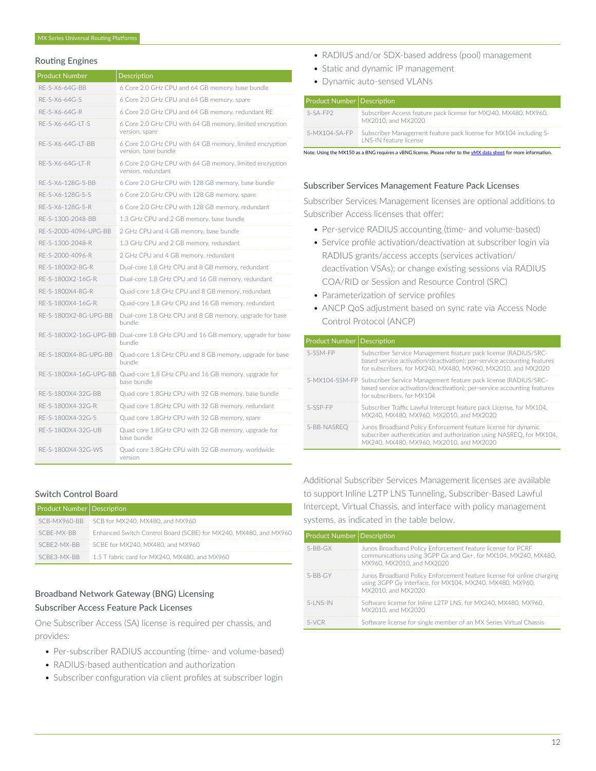#### Routing Engines

| <b>Product Number</b>  | Description                                                                      |
|------------------------|----------------------------------------------------------------------------------|
| RF-S-X6-64G-BB         | 6 Core 2.0 GHz CPU and 64 GB memory, base bundle                                 |
| RE-S-X6-64G-S          | 6 Core 2.0 GHz CPU and 64 GB memory, spare                                       |
| RE-S-X6-64G-R          | 6 Core 2.0 GHz CPU and 64 GB memory, redundant RE                                |
| RE-S-X6-64G-LT-S       | 6 Core 2.0 GHz CPU with 64 GB memory, limited encryption<br>version, spare       |
| RF-S-X6-64G-IT-BB      | 6 Core 2.0 GHz CPU with 64 GB memory, limited encryption<br>version, base bundle |
| RE-S-X6-64G-LT-R       | 6 Core 2.0 GHz CPU with 64 GB memory, limited encryption<br>version, redundant   |
| RE-S-X6-128G-S-BB      | 6 Core 2.0 GHz CPU with 128 GB memory, base bundle                               |
| RE-S-X6-128G-S-S       | 6 Core 2.0 GHz CPU with 128 GB memory, spare                                     |
| RE-S-X6-128G-S-R       | 6 Core 2.0 GHz CPU with 128 GB memory, redundant                                 |
| RF-S-1300-2048-BB      | 1.3 GHz CPU and 2 GB memory, base bundle                                         |
| RE-S-2000-4096-UPG-BB  | 2 GHz CPU and 4 GB memory, base bundle                                           |
| RE-S-1300-2048-R       | 1.3 GHz CPU and 2 GB memory, redundant                                           |
| RE-S-2000-4096-R       | 2 GHz CPU and 4 GB memory, redundant                                             |
| RE-S-1800X2-8G-R       | Dual-core 1.8 GHz CPU and 8 GB memory, redundant                                 |
| RE-S-1800X2-16G-R      | Dual-core 1.8 GHz CPU and 16 GB memory, redundant                                |
| RE-S-1800X4-8G-R       | Quad-core 1.8 GHz CPU and 8 GB memory, redundant                                 |
| RE-S-1800X4-16G-R      | Quad-core 1.8 GHz CPU and 16 GB memory, redundant                                |
| RF-S-1800X2-8G-UPG-BB  | Dual-core 1.8 GHz CPU and 8 GB memory, upgrade for base<br>bundle                |
| RF-S-1800X2-16G-UPG-BB | Dual-core 1.8 GHz CPU and 16 GB memory, upgrade for base<br>bundle               |
| RE-S-1800X4-8G-UPG-BB  | Quad-core 1.8 GHz CPU and 8 GB memory, upgrade for base<br>bundle                |
| RE-S-1800X4-16G-UPG-BB | Quad-core 1.8 GHz CPU and 16 GB memory, upgrade for<br>base bundle               |
| RE-S-1800X4-32G-BB     | Quad core 1.8GHz CPU with 32 GB memory, base bundle                              |
| RE-S-1800X4-32G-R      | Quad core 1.8GHz CPU with 32 GB memory, redundant                                |
| RE-S-1800X4-32G-S      | Quad core 1.8GHz CPU with 32 GB memory, spare                                    |
| RE-S-1800X4-32G-UB     | Quad core 1.8GHz CPU with 32 GB memory, upgrade for<br>base bundle               |
| RE-S-1800X4-32G-WS     | Quad core 1.8GHz CPU with 32 GB memory, worldwide<br>version                     |

#### Switch Control Board

|  | <b>Product Number Description</b> |                                                                  |
|--|-----------------------------------|------------------------------------------------------------------|
|  |                                   | SCB-MX960-BB SCB for MX240, MX480, and MX960                     |
|  | SCBF-MX-BB                        | Enhanced Switch Control Board (SCBE) for MX240, MX480, and MX960 |
|  | SCBF2-MX-BB                       | SCBE for MX240, MX480, and MX960                                 |
|  | SCRE3-MX-RR                       | 1.5 T fabric card for MX240, MX480, and MX960                    |

# Broadband Network Gateway (BNG) Licensing Subscriber Access Feature Pack Licenses

One Subscriber Access (SA) license is required per chassis, and provides:

- Per-subscriber RADIUS accounting (time- and volume-based)
- RADIUS-based authentication and authorization
- Subscriber configuration via client profiles at subscriber login
- RADIUS and/or SDX-based address (pool) management
- Static and dynamic IP management
- Dynamic auto-sensed VLANs

| <b>Product Number   Description</b> |                                                                                                    |
|-------------------------------------|----------------------------------------------------------------------------------------------------|
| S-SA-FP2                            | Subscriber Access feature pack license for MX240, MX480, MX960,<br>MX2010, and MX2020              |
| S-MX104-SA-FP                       | Subscriber Management feature pack license for MX104 including S-<br><b>LNS-IN feature license</b> |

Note: Using the MX150 as a BNG requires a vBNG license. Please refer to the vMX data sheet for more information

#### Subscriber Services Management Feature Pack Licenses

Subscriber Services Management licenses are optional additions to Subscriber Access licenses that offer:

- Per-service RADIUS accounting (time- and volume-based)
- Service profile activation/deactivation at subscriber login via RADIUS grants/access accepts (services activation/ deactivation VSAs); or change existing sessions via RADIUS COA/RID or Session and Resource Control (SRC)
- Parameterization of service profiles
- ANCP QoS adjustment based on sync rate via Access Node Control Protocol (ANCP)

| <b>Product Number   Description</b> |                                                                                                                                                                                                            |
|-------------------------------------|------------------------------------------------------------------------------------------------------------------------------------------------------------------------------------------------------------|
| S-SSM-FP                            | Subscriber Service Management feature pack license (RADIUS/SRC-<br>based service activation/deactivation); per-service accounting features<br>for subscribers, for MX240, MX480, MX960, MX2010, and MX2020 |
|                                     | S-MX104-SSM-FP Subscriber Service Management feature pack license (RADIUS/SRC-<br>based service activation/deactivation); per-service accounting features<br>for subscribers, for MX104                    |
| $S-SSP-FP$                          | Subscriber Traffic Lawful Intercept feature pack License, for MX104,<br>MX240, MX480, MX960, MX2010, and MX2020                                                                                            |
| S-BB-NASREO                         | Junos Broadband Policy Enforcement feature license for dynamic<br>subscriber authentication and authorization using NASREO, for MX104.<br>MX240, MX480, MX960, MX2010, and MX2020                          |

Additional Subscriber Services Management licenses are available to support Inline L2TP LNS Tunneling, Subscriber-Based Lawful Intercept, Virtual Chassis, and interface with policy management systems, as indicated in the table below.

| <b>Product Number   Description</b> |                                                                                                                                                            |
|-------------------------------------|------------------------------------------------------------------------------------------------------------------------------------------------------------|
| $S-BB-GX$                           | Junos Broadband Policy Enforcement feature license for PCRF<br>communications using 3GPP Gx and Gx+, for MX104, MX240, MX480,<br>MX960, MX2010, and MX2020 |
| $S-RR-GY$                           | Junos Broadband Policy Enforcement feature license for online charging<br>using 3GPP Gy interface, for MX104, MX240, MX480, MX960,<br>MX2010, and MX2020   |
| $S-1$ NS-IN                         | Software license for Inline L2TP LNS, for MX240, MX480, MX960,<br>MX2010, and MX2020                                                                       |
| $S-NCR$                             | Software license for single member of an MX Series Virtual Chassis                                                                                         |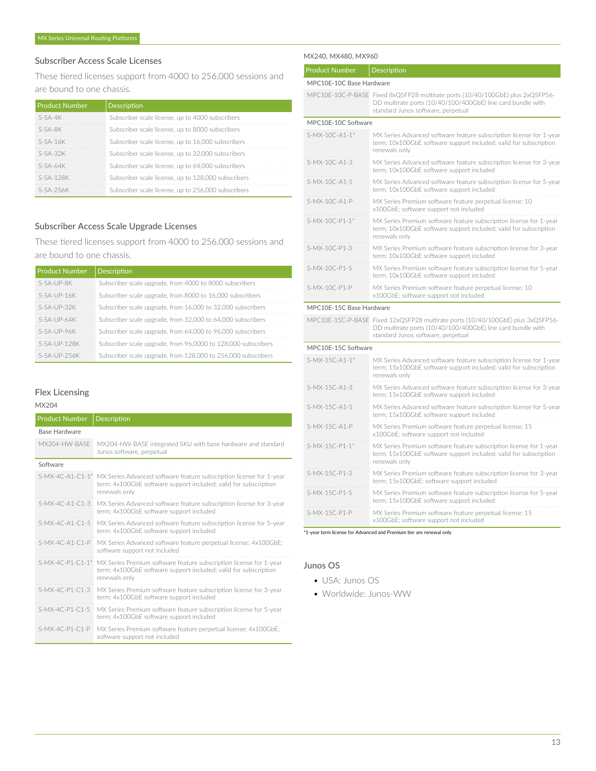### Subscriber Access Scale Licenses

These tiered licenses support from 4000 to 256,000 sessions and are bound to one chassis.

| <b>Product Number</b> | <b>Description</b>                                  |
|-----------------------|-----------------------------------------------------|
| $S-SA-4K$             | Subscriber scale license, up to 4000 subscribers    |
| S-SA-8K               | Subscriber scale license, up to 8000 subscribers    |
| $S-SA-16K$            | Subscriber scale license, up to 16,000 subscribers  |
| $S-SA-32K$            | Subscriber scale license, up to 32,000 subscribers  |
| $S-SA-64K$            | Subscriber scale license, up to 64,000 subscribers  |
| $S-SA-128K$           | Subscriber scale license, up to 128,000 subscribers |
| $S-SA-25AK$           | Subscriber scale license, up to 256,000 subscribers |

# Subscriber Access Scale Upgrade Licenses

These tiered licenses support from 4000 to 256,000 sessions and are bound to one chassis.

| <b>Product Number</b> | Description                                                   |
|-----------------------|---------------------------------------------------------------|
| $S-SA-UP-RK$          | Subscriber scale upgrade, from 4000 to 8000 subscribers       |
| $S-SA-UP-16K$         | Subscriber scale upgrade, from 8000 to 16,000 subscribers     |
| $S-SA-UP-32K$         | Subscriber scale upgrade, from 16,000 to 32,000 subscribers   |
| $S-SA-UP-64K$         | Subscriber scale upgrade, from 32,000 to 64,000 subscribers   |
| $S-SA-UP-96K$         | Subscriber scale upgrade, from 64,000 to 96,000 subscribers   |
| $S-SA-UP-128K$        | Subscriber scale upgrade, from 96,0000 to 128,000 subscribers |
| $S-SA-UP-25AK$        | Subscriber scale upgrade, from 128,000 to 256,000 subscribers |

#### Flex Licensing

#### MX204

| <b>Product Number</b> | <b>Description</b>                                                                                                                                                                    |
|-----------------------|---------------------------------------------------------------------------------------------------------------------------------------------------------------------------------------|
| <b>Base Hardware</b>  |                                                                                                                                                                                       |
| MX204-HW-BASE         | MX204-HW-BASE integrated SKU with base hardware and standard<br>Junos software, perpetual                                                                                             |
| Software              |                                                                                                                                                                                       |
|                       | S-MX-4C-A1-C1-1 <sup>*</sup> MX Series Advanced software feature subscription license for 1-year<br>term; 4x100GbE software support included; valid for subscription<br>renewals only |
| $S-MX-4C-A1-C1-3$     | MX Series Advanced software feature subscription license for 3-year<br>term; 4x100GbE software support included                                                                       |
| $S-MX-4C-A1-C1-5$     | MX Series Advanced software feature subscription license for 5-year<br>term; 4x100GbE software support included                                                                       |
| $S-MX-4C-A1-C1-P$     | MX Series Advanced software feature perpetual license; 4x100GbE;<br>software support not included                                                                                     |
|                       | S-MX-4C-P1-C1-1* MX Series Premium software feature subscription license for 1-year<br>term; 4x100GbE software support included; valid for subscription<br>renewals only              |
| S-MX-4C-P1-C1-3       | MX Series Premium software feature subscription license for 3-year<br>term; 4x100GbE software support included                                                                        |
| S-MX-4C-P1-C1-5       | MX Series Premium software feature subscription license for 5-year<br>term; 4x100GbE software support included                                                                        |
| $S-MX-4C- P1-C1-P$    | MX Series Premium software feature perpetual license; 4x100GbE;<br>software support not included                                                                                      |

#### MX240, MX480, MX960

| <b>Product Number</b>    | Description                                                                                                                                                                          |
|--------------------------|--------------------------------------------------------------------------------------------------------------------------------------------------------------------------------------|
| MPC10E-10C Base Hardware |                                                                                                                                                                                      |
|                          | MPC10E-10C-P-BASE Fixed 8xQSFP28 multirate ports (10/40/100GbE) plus 2xQSFP56-<br>DD multirate ports (10/40/100/400GbE) line card bundle with<br>standard Junos software, perpetual  |
| MPC10E-10C Software      |                                                                                                                                                                                      |
| S-MX-10C-A1-1*           | MX Series Advanced software feature subscription license for 1-year<br>term; 10x100GbE software support included; valid for subscription<br>renewals only                            |
| $S-MX-10C-A1-3$          | MX Series Advanced software feature subscription license for 3-year<br>term; 10x100GbE software support included                                                                     |
| S-MX-10C-A1-5            | MX Series Advanced software feature subscription license for 5-year<br>term: 10x100GbE software support included                                                                     |
| $S-MX-1OC-A1-P$          | MX Series Premium software feature perpetual license; 10<br>x100GbE; software support not included                                                                                   |
| S-MX-10C-P1-1*           | MX Series Premium software feature subscription license for 1-year<br>term; 10x100GbE software support included; valid for subscription<br>renewals only                             |
| S-MX-10C-P1-3            | MX Series Premium software feature subscription license for 3-year<br>term; 10x100GbE software support included                                                                      |
| S-MX-10C-P1-5            | MX Series Premium software feature subscription license for 5-year<br>term; 10x100GbE software support included                                                                      |
| S-MX-10C-P1-P            | MX Series Premium software feature perpetual license; 10<br>x100GbE; software support not included                                                                                   |
| MPC10E-15C Base Hardware |                                                                                                                                                                                      |
|                          | MPC10E-15C-P-BASE Fixed 12xQSFP28 multirate ports (10/40/100GbE) plus 3xQSFP56-<br>DD multirate ports (10/40/100/400GbE) line card bundle with<br>standard Junos software, perpetual |
| MPC10E-15C Software      |                                                                                                                                                                                      |
| S-MX-15C-A1-1*           | MX Series Advanced software feature subscription license for 1-year<br>term; 15x100GbE software support included; valid for subscription<br>renewals only                            |
| S-MX-15C-A1-3            | MX Series Advanced software feature subscription license for 3-year<br>term; 15x100GbE software support included                                                                     |
| S-MX-15C-A1-5            | MX Series Advanced software feature subscription license for 5-year<br>term; 15x100GbE software support included                                                                     |
| S-MX-15C-A1-P            | MX Series Premium software feature perpetual license; 15<br>x100GbE; software support not included                                                                                   |
| S-MX-15C-P1-1*           | MX Series Premium software feature subscription license for 1-year<br>term; 15x100GbE software support included; valid for subscription<br>renewals only                             |
| S-MX-15C-P1-3            | MX Series Premium software feature subscription license for 3-year<br>term; 15x100GbE; software support included                                                                     |
| S-MX-15C-P1-5            | MX Series Premium software feature subscription license for 5-year<br>term; 15x100GbE software support included                                                                      |
| S-MX-15C-P1-P            | MX Series Premium software feature perpetual license; 15<br>x100GbE; software support not included                                                                                   |

\*1-year term license for Advanced and Premium tier are renewal only

#### Junos OS

- USA: Junos OS
- Worldwide: Junos-WW